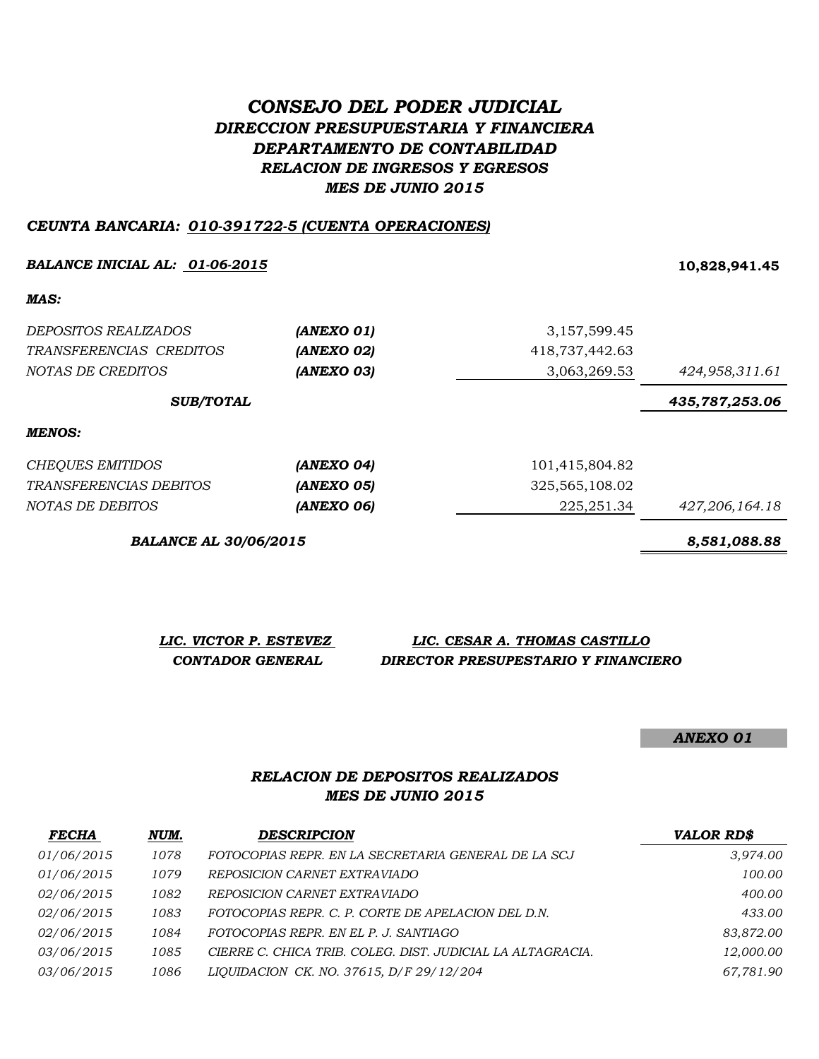# *CONSEJO DEL PODER JUDICIAL DIRECCION PRESUPUESTARIA Y FINANCIERA DEPARTAMENTO DE CONTABILIDAD RELACION DE INGRESOS Y EGRESOS MES DE JUNIO 2015*

#### *CEUNTA BANCARIA: 010-391722-5 (CUENTA OPERACIONES)*

#### *BALANCE INICIAL AL: 01-06-2015* **10,828,941.45**

*MAS:*

| <i>DEPOSITOS REALIZADOS</i><br>TRANSFERENCIAS CREDITOS<br>NOTAS DE CREDITOS | (ANEXO 01)<br>(ANEXO 02)<br>(ANEXO 03) | 3,157,599.45<br>418,737,442.63<br>3,063,269.53 | 424,958,311.61 |
|-----------------------------------------------------------------------------|----------------------------------------|------------------------------------------------|----------------|
| <b>SUB/TOTAL</b>                                                            |                                        |                                                | 435,787,253.06 |
| MENOS:                                                                      |                                        |                                                |                |
| CHEQUES EMITIDOS                                                            | (ANEXO 04)                             | 101,415,804.82                                 |                |
| TRANSFERENCIAS DEBITOS                                                      | <b>(ANEXO 05)</b>                      | 325, 565, 108.02                               |                |
| NOTAS DE DEBITOS                                                            | (ANEXO 06)                             | 225, 251.34                                    | 427,206,164.18 |

*BALANCE AL 30/06/2015 8,581,088.88*

| LIC. VICTOR P. ESTEVEZ | LIC. CESAR A. THOMAS CASTILLO       |
|------------------------|-------------------------------------|
| CONTADOR GENERAL       | DIRECTOR PRESUPESTARIO Y FINANCIERO |

*ANEXO 01*

#### *MES DE JUNIO 2015 RELACION DE DEPOSITOS REALIZADOS*

| <b>FECHA</b>      | NUM. | <b>DESCRIPCION</b>                                         | <b>VALOR RD\$</b> |
|-------------------|------|------------------------------------------------------------|-------------------|
| 01/06/2015        | 1078 | FOTOCOPIAS REPR. EN LA SECRETARIA GENERAL DE LA SCJ        | 3,974.00          |
| 01/06/2015        | 1079 | REPOSICION CARNET EXTRAVIADO                               | 100.00            |
| 02/06/2015        | 1082 | REPOSICION CARNET EXTRAVIADO                               | 400.00            |
| 02/06/2015        | 1083 | FOTOCOPIAS REPR. C. P. CORTE DE APELACION DEL D.N.         | 433.00            |
| <i>02/06/2015</i> | 1084 | FOTOCOPIAS REPR. EN EL P. J. SANTIAGO                      | 83,872.00         |
| 03/06/2015        | 1085 | CIERRE C. CHICA TRIB. COLEG. DIST. JUDICIAL LA ALTAGRACIA. | 12,000.00         |
| 03/06/2015        | 1086 | LIQUIDACION CK. NO. 37615, D/F 29/12/204                   | 67,781.90         |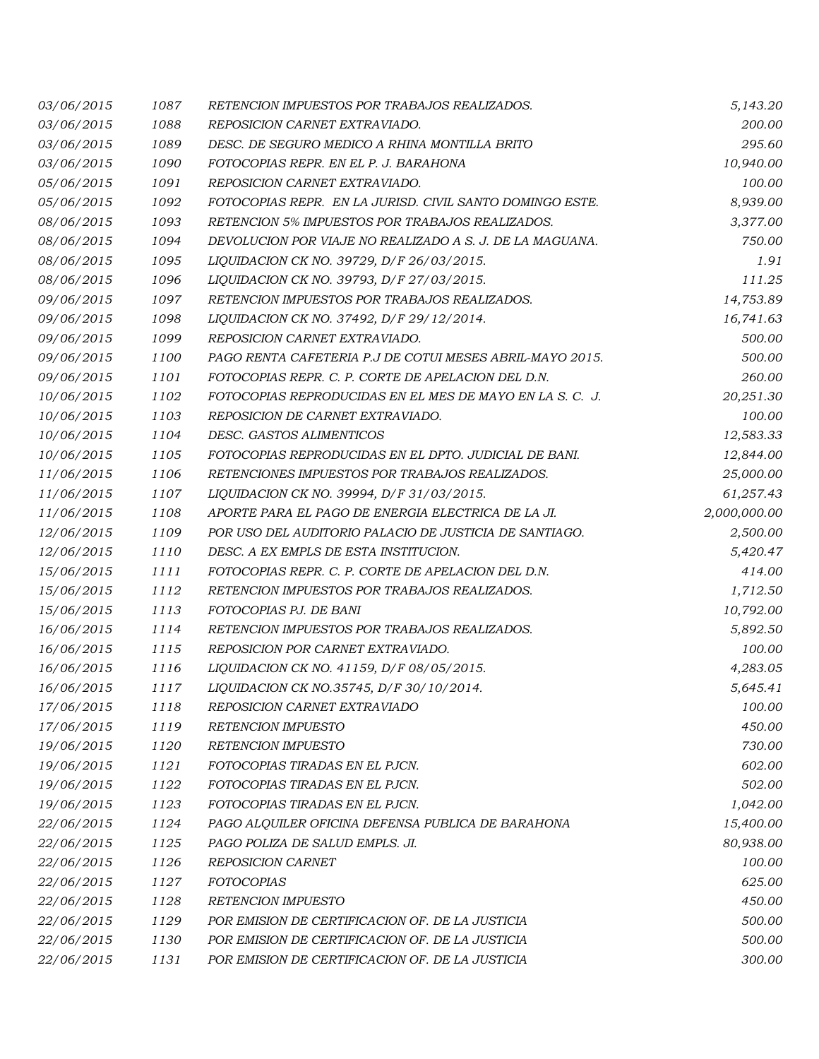| 03/06/2015 | 1087 | RETENCION IMPUESTOS POR TRABAJOS REALIZADOS.             | 5,143.20     |
|------------|------|----------------------------------------------------------|--------------|
| 03/06/2015 | 1088 | REPOSICION CARNET EXTRAVIADO.                            | 200.00       |
| 03/06/2015 | 1089 | DESC. DE SEGURO MEDICO A RHINA MONTILLA BRITO            | 295.60       |
| 03/06/2015 | 1090 | FOTOCOPIAS REPR. EN EL P. J. BARAHONA                    | 10,940.00    |
| 05/06/2015 | 1091 | REPOSICION CARNET EXTRAVIADO.                            | 100.00       |
| 05/06/2015 | 1092 | FOTOCOPIAS REPR. EN LA JURISD. CIVIL SANTO DOMINGO ESTE. | 8,939.00     |
| 08/06/2015 | 1093 | RETENCION 5% IMPUESTOS POR TRABAJOS REALIZADOS.          | 3,377.00     |
| 08/06/2015 | 1094 | DEVOLUCION POR VIAJE NO REALIZADO A S. J. DE LA MAGUANA. | 750.00       |
| 08/06/2015 | 1095 | LIQUIDACION CK NO. 39729, D/F 26/03/2015.                | 1.91         |
| 08/06/2015 | 1096 | LIQUIDACION CK NO. 39793, D/F 27/03/2015.                | 111.25       |
| 09/06/2015 | 1097 | RETENCION IMPUESTOS POR TRABAJOS REALIZADOS.             | 14,753.89    |
| 09/06/2015 | 1098 | LIQUIDACION CK NO. 37492, D/F 29/12/2014.                | 16,741.63    |
| 09/06/2015 | 1099 | REPOSICION CARNET EXTRAVIADO.                            | 500.00       |
| 09/06/2015 | 1100 | PAGO RENTA CAFETERIA P.J DE COTUI MESES ABRIL-MAYO 2015. | 500.00       |
| 09/06/2015 | 1101 | FOTOCOPIAS REPR. C. P. CORTE DE APELACION DEL D.N.       | 260.00       |
| 10/06/2015 | 1102 | FOTOCOPIAS REPRODUCIDAS EN EL MES DE MAYO EN LA S.C. J.  | 20,251.30    |
| 10/06/2015 | 1103 | REPOSICION DE CARNET EXTRAVIADO.                         | 100.00       |
| 10/06/2015 | 1104 | DESC. GASTOS ALIMENTICOS                                 | 12,583.33    |
| 10/06/2015 | 1105 | FOTOCOPIAS REPRODUCIDAS EN EL DPTO. JUDICIAL DE BANI.    | 12,844.00    |
| 11/06/2015 | 1106 | RETENCIONES IMPUESTOS POR TRABAJOS REALIZADOS.           | 25,000.00    |
| 11/06/2015 | 1107 | LIQUIDACION CK NO. 39994, D/F 31/03/2015.                | 61,257.43    |
| 11/06/2015 | 1108 | APORTE PARA EL PAGO DE ENERGIA ELECTRICA DE LA JI.       | 2,000,000.00 |
| 12/06/2015 | 1109 | POR USO DEL AUDITORIO PALACIO DE JUSTICIA DE SANTIAGO.   | 2,500.00     |
| 12/06/2015 | 1110 | DESC. A EX EMPLS DE ESTA INSTITUCION.                    | 5,420.47     |
| 15/06/2015 | 1111 | FOTOCOPIAS REPR. C. P. CORTE DE APELACION DEL D.N.       | 414.00       |
| 15/06/2015 | 1112 | RETENCION IMPUESTOS POR TRABAJOS REALIZADOS.             | 1,712.50     |
| 15/06/2015 | 1113 | FOTOCOPIAS PJ. DE BANI                                   | 10,792.00    |
| 16/06/2015 | 1114 | RETENCION IMPUESTOS POR TRABAJOS REALIZADOS.             | 5,892.50     |
| 16/06/2015 | 1115 | REPOSICION POR CARNET EXTRAVIADO.                        | 100.00       |
| 16/06/2015 | 1116 | LIQUIDACION CK NO. 41159, D/F 08/05/2015.                | 4,283.05     |
| 16/06/2015 | 1117 | LIQUIDACION CK NO.35745, D/F 30/10/2014.                 | 5,645.41     |
| 17/06/2015 | 1118 | <i>REPOSICION CARNET EXTRAVIADO</i>                      | 100.00       |
| 17/06/2015 | 1119 | <b>RETENCION IMPUESTO</b>                                | 450.00       |
| 19/06/2015 | 1120 | RETENCION IMPUESTO                                       | 730.00       |
| 19/06/2015 | 1121 | FOTOCOPIAS TIRADAS EN EL PJCN.                           | 602.00       |
| 19/06/2015 | 1122 | FOTOCOPIAS TIRADAS EN EL PJCN.                           | 502.00       |
| 19/06/2015 | 1123 | FOTOCOPIAS TIRADAS EN EL PJCN.                           | 1,042.00     |
| 22/06/2015 | 1124 | PAGO ALQUILER OFICINA DEFENSA PUBLICA DE BARAHONA        | 15,400.00    |
| 22/06/2015 | 1125 | PAGO POLIZA DE SALUD EMPLS. JI.                          | 80,938.00    |
| 22/06/2015 | 1126 | REPOSICION CARNET                                        | 100.00       |
| 22/06/2015 | 1127 | <b>FOTOCOPIAS</b>                                        | 625.00       |
| 22/06/2015 | 1128 | <b>RETENCION IMPUESTO</b>                                | 450.00       |
| 22/06/2015 | 1129 | POR EMISION DE CERTIFICACION OF. DE LA JUSTICIA          | 500.00       |
| 22/06/2015 | 1130 | POR EMISION DE CERTIFICACION OF. DE LA JUSTICIA          | 500.00       |
| 22/06/2015 | 1131 | POR EMISION DE CERTIFICACION OF. DE LA JUSTICIA          | 300.00       |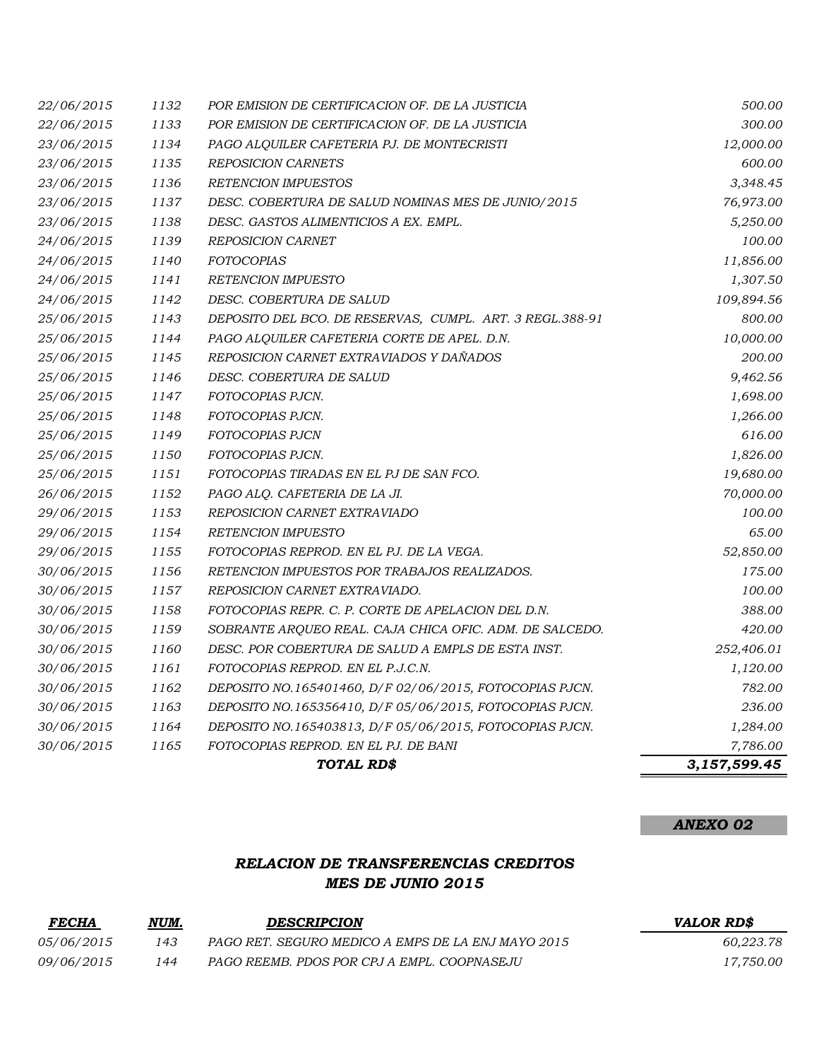|                          |              | TOTAL RD\$                                                              | 3,157,599.45 |
|--------------------------|--------------|-------------------------------------------------------------------------|--------------|
| 30/06/2015               | 1165         | FOTOCOPIAS REPROD. EN EL PJ. DE BANI                                    | 7,786.00     |
| 30/06/2015               | 1164         | DEPOSITO NO.165403813, D/F 05/06/2015, FOTOCOPIAS PJCN.                 | 1,284.00     |
| 30/06/2015               | 1163         | DEPOSITO NO.165356410, D/F 05/06/2015, FOTOCOPIAS PJCN.                 | 236.00       |
| 30/06/2015               | 1162         | DEPOSITO NO.165401460, D/F 02/06/2015, FOTOCOPIAS PJCN.                 | 782.00       |
| 30/06/2015               | 1161         | FOTOCOPIAS REPROD. EN EL P.J.C.N.                                       | 1,120.00     |
| 30/06/2015               | 1160         | DESC. POR COBERTURA DE SALUD A EMPLS DE ESTA INST.                      | 252,406.01   |
| 30/06/2015               | 1159         | SOBRANTE ARQUEO REAL. CAJA CHICA OFIC. ADM. DE SALCEDO.                 | 420.00       |
| 30/06/2015               | 1158         | FOTOCOPIAS REPR. C. P. CORTE DE APELACION DEL D.N.                      | 388.00       |
| 30/06/2015               | 1157         | REPOSICION CARNET EXTRAVIADO.                                           | 100.00       |
| 30/06/2015               | 1156         | RETENCION IMPUESTOS POR TRABAJOS REALIZADOS.                            | 175.00       |
| 29/06/2015               | 1155         | FOTOCOPIAS REPROD. EN EL PJ. DE LA VEGA.                                | 52,850.00    |
| 29/06/2015               | 1154         | <b>RETENCION IMPUESTO</b>                                               | 65.00        |
| 29/06/2015               | 1153         | REPOSICION CARNET EXTRAVIADO                                            | 100.00       |
| 26/06/2015               | 1152         | PAGO ALO. CAFETERIA DE LA JI.                                           | 70,000.00    |
| 25/06/2015               | 1151         | FOTOCOPIAS TIRADAS EN EL PJ DE SAN FCO.                                 | 19,680.00    |
| 25/06/2015               | 1150         | FOTOCOPIAS PJCN.                                                        | 1,826.00     |
| 25/06/2015               | 1149         | FOTOCOPIAS PJCN                                                         | 616.00       |
| 25/06/2015               | 1148         | FOTOCOPIAS PJCN.                                                        | 1,266.00     |
| 25/06/2015               | 1147         | FOTOCOPIAS PJCN.                                                        | 1,698.00     |
| 25/06/2015               | 1146         | DESC. COBERTURA DE SALUD                                                | 9,462.56     |
| 25/06/2015               | 1145         | REPOSICION CARNET EXTRAVIADOS Y DAÑADOS                                 | 200.00       |
| 25/06/2015               | 1144         | PAGO ALQUILER CAFETERIA CORTE DE APEL. D.N.                             | 10,000.00    |
| 25/06/2015               | 1143         | DEPOSITO DEL BCO. DE RESERVAS, CUMPL. ART. 3 REGL.388-91                | 800.00       |
| 24/06/2015               | 1142         | DESC. COBERTURA DE SALUD                                                | 109,894.56   |
| 24/06/2015               | 1141         | RETENCION IMPUESTO                                                      | 1,307.50     |
| 24/06/2015               | 1140         | <b>FOTOCOPIAS</b>                                                       | 11,856.00    |
| 24/06/2015               | 1139         | <b>REPOSICION CARNET</b>                                                | 100.00       |
| 23/06/2015               | 1138         | DESC. GASTOS ALIMENTICIOS A EX. EMPL.                                   | 5,250.00     |
| 23/06/2015               | 1137         | DESC. COBERTURA DE SALUD NOMINAS MES DE JUNIO/2015                      | 76,973.00    |
| 23/06/2015               | 1136         | RETENCION IMPUESTOS                                                     | 3,348.45     |
| 23/06/2015<br>23/06/2015 | 1134<br>1135 | PAGO ALQUILER CAFETERIA PJ. DE MONTECRISTI<br><b>REPOSICION CARNETS</b> | 600.00       |
| 22/06/2015               |              |                                                                         | 12,000.00    |
|                          | 1133         | POR EMISION DE CERTIFICACION OF. DE LA JUSTICIA                         | 300.00       |
| 22/06/2015               | 1132         | POR EMISION DE CERTIFICACION OF. DE LA JUSTICIA                         | 500.00       |

*ANEXO 02*

### *RELACION DE TRANSFERENCIAS CREDITOS MES DE JUNIO 2015*

| <b>FECHA</b> | NUM. | <b>DESCRIPCION</b>                                 | <b>VALOR RDS</b> |
|--------------|------|----------------------------------------------------|------------------|
| 05/06/2015   | 143  | PAGO RET. SEGURO MEDICO A EMPS DE LA ENJ MAYO 2015 | 60.223.78        |
| 09/06/2015   | 144  | PAGO REEMB. PDOS POR CPJ A EMPL. COOPNASEJU        | 17,750.00        |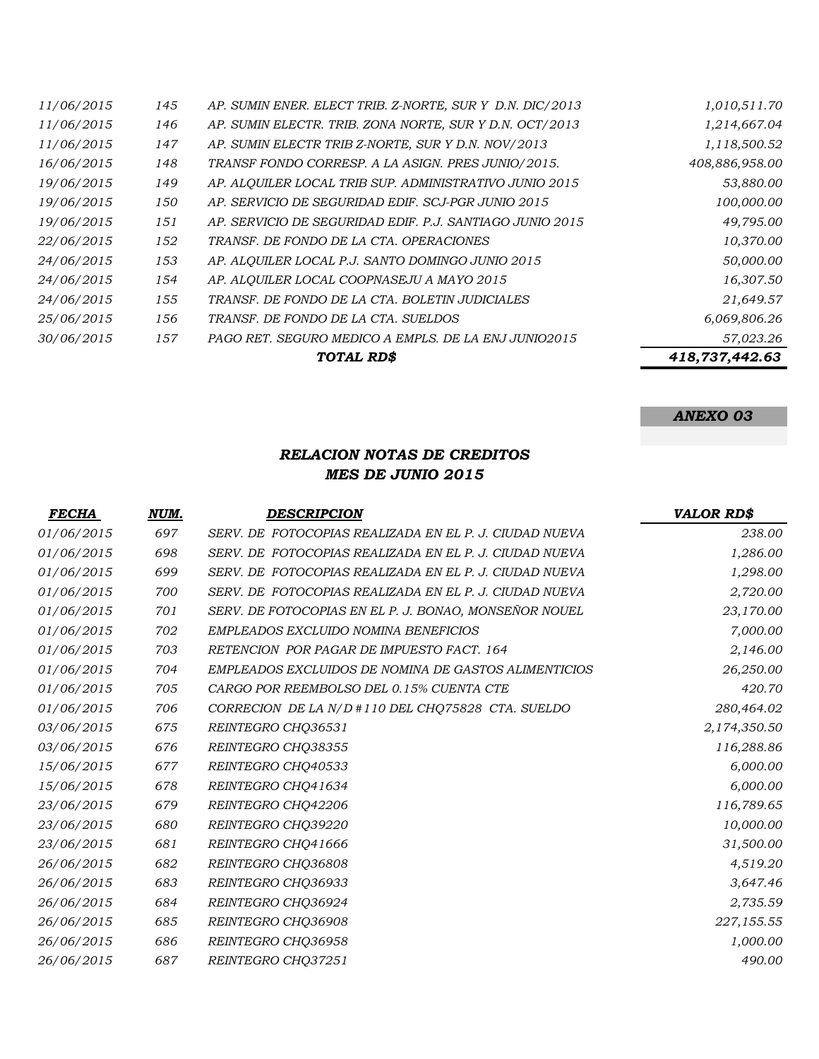|            |     | TOTAL RD\$                                               | 418,737,442.63 |
|------------|-----|----------------------------------------------------------|----------------|
| 30/06/2015 | 157 | PAGO RET. SEGURO MEDICO A EMPLS. DE LA ENJ JUNIO2015     | 57,023.26      |
| 25/06/2015 | 156 | TRANSF. DE FONDO DE LA CTA. SUELDOS                      | 6,069,806.26   |
| 24/06/2015 | 155 | TRANSF. DE FONDO DE LA CTA. BOLETIN JUDICIALES           | 21,649.57      |
| 24/06/2015 | 154 | AP. ALOUILER LOCAL COOPNASEJU A MAYO 2015                | 16,307.50      |
| 24/06/2015 | 153 | AP. ALOUILER LOCAL P.J. SANTO DOMINGO JUNIO 2015         | 50,000.00      |
| 22/06/2015 | 152 | TRANSF. DE FONDO DE LA CTA. OPERACIONES                  | 10,370.00      |
| 19/06/2015 | 151 | AP. SERVICIO DE SEGURIDAD EDIF. P.J. SANTIAGO JUNIO 2015 | 49,795.00      |
| 19/06/2015 | 150 | AP. SERVICIO DE SEGURIDAD EDIF. SCJ-PGR JUNIO 2015       | 100,000.00     |
| 19/06/2015 | 149 | AP. ALOUILER LOCAL TRIB SUP. ADMINISTRATIVO JUNIO 2015   | 53,880.00      |
| 16/06/2015 | 148 | TRANSF FONDO CORRESP. A LA ASIGN. PRES JUNIO/2015.       | 408,886,958.00 |
| 11/06/2015 | 147 | AP. SUMIN ELECTR TRIB Z-NORTE, SUR Y D.N. NOV/2013       | 1,118,500.52   |
| 11/06/2015 | 146 | AP. SUMIN ELECTR. TRIB. ZONA NORTE, SUR Y D.N. OCT/2013  | 1,214,667.04   |
| 11/06/2015 | 145 | AP. SUMIN ENER. ELECT TRIB. Z-NORTE, SUR Y D.N. DIC/2013 | 1,010,511.70   |

*ANEXO 03*

#### *RELACION NOTAS DE CREDITOS MES DE JUNIO 2015*

| <b>FECHA</b> | NUM. | <b>DESCRIPCION</b>                                     | <b>VALOR RD\$</b> |
|--------------|------|--------------------------------------------------------|-------------------|
| 01/06/2015   | 697  | SERV. DE FOTOCOPIAS REALIZADA EN EL P. J. CIUDAD NUEVA | 238.00            |
| 01/06/2015   | 698  | SERV. DE FOTOCOPIAS REALIZADA EN EL P. J. CIUDAD NUEVA | 1,286.00          |
| 01/06/2015   | 699  | SERV. DE FOTOCOPIAS REALIZADA EN EL P. J. CIUDAD NUEVA | 1,298.00          |
| 01/06/2015   | 700  | SERV. DE FOTOCOPIAS REALIZADA EN EL P. J. CIUDAD NUEVA | 2,720.00          |
| 01/06/2015   | 701  | SERV. DE FOTOCOPIAS EN EL P. J. BONAO, MONSEÑOR NOUEL  | 23,170.00         |
| 01/06/2015   | 702  | EMPLEADOS EXCLUIDO NOMINA BENEFICIOS                   | 7,000.00          |
| 01/06/2015   | 703  | RETENCION POR PAGAR DE IMPUESTO FACT. 164              | 2,146.00          |
| 01/06/2015   | 704  | EMPLEADOS EXCLUIDOS DE NOMINA DE GASTOS ALIMENTICIOS   | 26,250.00         |
| 01/06/2015   | 705  | CARGO POR REEMBOLSO DEL 0.15% CUENTA CTE               | 420.70            |
| 01/06/2015   | 706  | CORRECION DE LA N/D #110 DEL CHQ75828 CTA. SUELDO      | 280,464.02        |
| 03/06/2015   | 675  | REINTEGRO CHQ36531                                     | 2,174,350.50      |
| 03/06/2015   | 676  | REINTEGRO CHQ38355                                     | 116,288.86        |
| 15/06/2015   | 677  | REINTEGRO CHQ40533                                     | 6,000.00          |
| 15/06/2015   | 678  | REINTEGRO CHQ41634                                     | 6,000.00          |
| 23/06/2015   | 679  | REINTEGRO CHQ42206                                     | 116,789.65        |
| 23/06/2015   | 680  | REINTEGRO CHQ39220                                     | 10,000.00         |
| 23/06/2015   | 681  | REINTEGRO CHO41666                                     | 31,500.00         |
| 26/06/2015   | 682  | REINTEGRO CHQ36808                                     | 4,519.20          |
| 26/06/2015   | 683  | REINTEGRO CHQ36933                                     | 3,647.46          |
| 26/06/2015   | 684  | REINTEGRO CHQ36924                                     | 2,735.59          |
| 26/06/2015   | 685  | REINTEGRO CHQ36908                                     | 227,155.55        |
| 26/06/2015   | 686  | REINTEGRO CHO36958                                     | 1,000.00          |
| 26/06/2015   | 687  | REINTEGRO CHQ37251                                     | 490.00            |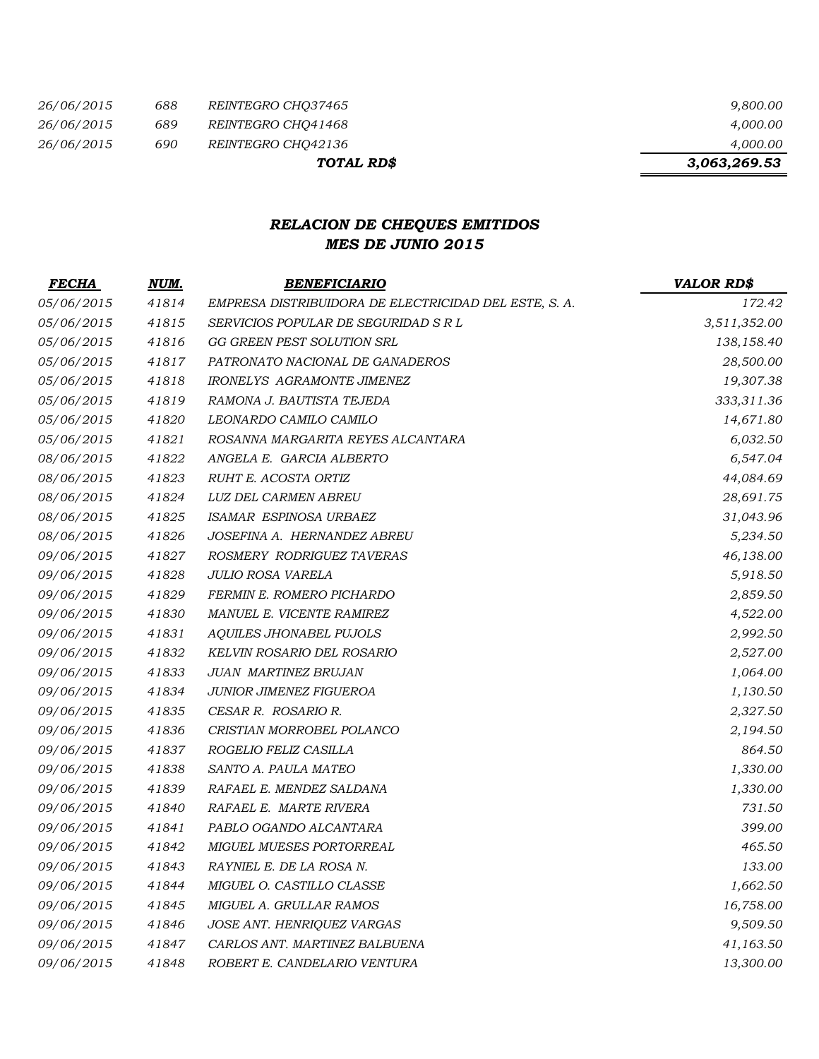| 26/06/2015 | 688 | <i>REINTEGRO CHO37465</i> | 9,800.00     |
|------------|-----|---------------------------|--------------|
| 26/06/2015 | 689 | <i>REINTEGRO CHO41468</i> | 4.000.00     |
| 26/06/2015 | 690 | <i>REINTEGRO CHO42136</i> | 4,000.00     |
|            |     | TOTAL RD\$                | 3,063,269.53 |

## *RELACION DE CHEQUES EMITIDOS MES DE JUNIO 2015*

| <b>FECHA</b> | NUM.  | <b>BENEFICIARIO</b>                                   | <b>VALOR RD\$</b> |
|--------------|-------|-------------------------------------------------------|-------------------|
| 05/06/2015   | 41814 | EMPRESA DISTRIBUIDORA DE ELECTRICIDAD DEL ESTE, S. A. | 172.42            |
| 05/06/2015   | 41815 | SERVICIOS POPULAR DE SEGURIDAD S R L                  | 3,511,352.00      |
| 05/06/2015   | 41816 | GG GREEN PEST SOLUTION SRL                            | 138,158.40        |
| 05/06/2015   | 41817 | PATRONATO NACIONAL DE GANADEROS                       | 28,500.00         |
| 05/06/2015   | 41818 | <b>IRONELYS AGRAMONTE JIMENEZ</b>                     | 19,307.38         |
| 05/06/2015   | 41819 | RAMONA J. BAUTISTA TEJEDA                             | 333,311.36        |
| 05/06/2015   | 41820 | LEONARDO CAMILO CAMILO                                | 14,671.80         |
| 05/06/2015   | 41821 | ROSANNA MARGARITA REYES ALCANTARA                     | 6,032.50          |
| 08/06/2015   | 41822 | ANGELA E. GARCIA ALBERTO                              | 6,547.04          |
| 08/06/2015   | 41823 | RUHT E. ACOSTA ORTIZ                                  | 44,084.69         |
| 08/06/2015   | 41824 | LUZ DEL CARMEN ABREU                                  | 28,691.75         |
| 08/06/2015   | 41825 | ISAMAR ESPINOSA URBAEZ                                | 31,043.96         |
| 08/06/2015   | 41826 | JOSEFINA A. HERNANDEZ ABREU                           | 5,234.50          |
| 09/06/2015   | 41827 | ROSMERY RODRIGUEZ TAVERAS                             | 46,138.00         |
| 09/06/2015   | 41828 | JULIO ROSA VARELA                                     | 5,918.50          |
| 09/06/2015   | 41829 | FERMIN E. ROMERO PICHARDO                             | 2,859.50          |
| 09/06/2015   | 41830 | MANUEL E. VICENTE RAMIREZ                             | 4,522.00          |
| 09/06/2015   | 41831 | AQUILES JHONABEL PUJOLS                               | 2,992.50          |
| 09/06/2015   | 41832 | KELVIN ROSARIO DEL ROSARIO                            | 2,527.00          |
| 09/06/2015   | 41833 | <b>JUAN MARTINEZ BRUJAN</b>                           | 1,064.00          |
| 09/06/2015   | 41834 | JUNIOR JIMENEZ FIGUEROA                               | 1,130.50          |
| 09/06/2015   | 41835 | CESAR R. ROSARIO R.                                   | 2,327.50          |
| 09/06/2015   | 41836 | CRISTIAN MORROBEL POLANCO                             | 2,194.50          |
| 09/06/2015   | 41837 | ROGELIO FELIZ CASILLA                                 | 864.50            |
| 09/06/2015   | 41838 | SANTO A. PAULA MATEO                                  | 1,330.00          |
| 09/06/2015   | 41839 | RAFAEL E. MENDEZ SALDANA                              | 1,330.00          |
| 09/06/2015   | 41840 | RAFAEL E. MARTE RIVERA                                | 731.50            |
| 09/06/2015   | 41841 | PABLO OGANDO ALCANTARA                                | 399.00            |
| 09/06/2015   | 41842 | MIGUEL MUESES PORTORREAL                              | 465.50            |
| 09/06/2015   | 41843 | RAYNIEL E. DE LA ROSA N.                              | 133.00            |
| 09/06/2015   | 41844 | MIGUEL O. CASTILLO CLASSE                             | 1,662.50          |
| 09/06/2015   | 41845 | MIGUEL A. GRULLAR RAMOS                               | 16,758.00         |
| 09/06/2015   | 41846 | JOSE ANT. HENRIQUEZ VARGAS                            | 9,509.50          |
| 09/06/2015   | 41847 | CARLOS ANT. MARTINEZ BALBUENA                         | 41,163.50         |
| 09/06/2015   | 41848 | ROBERT E. CANDELARIO VENTURA                          | 13,300.00         |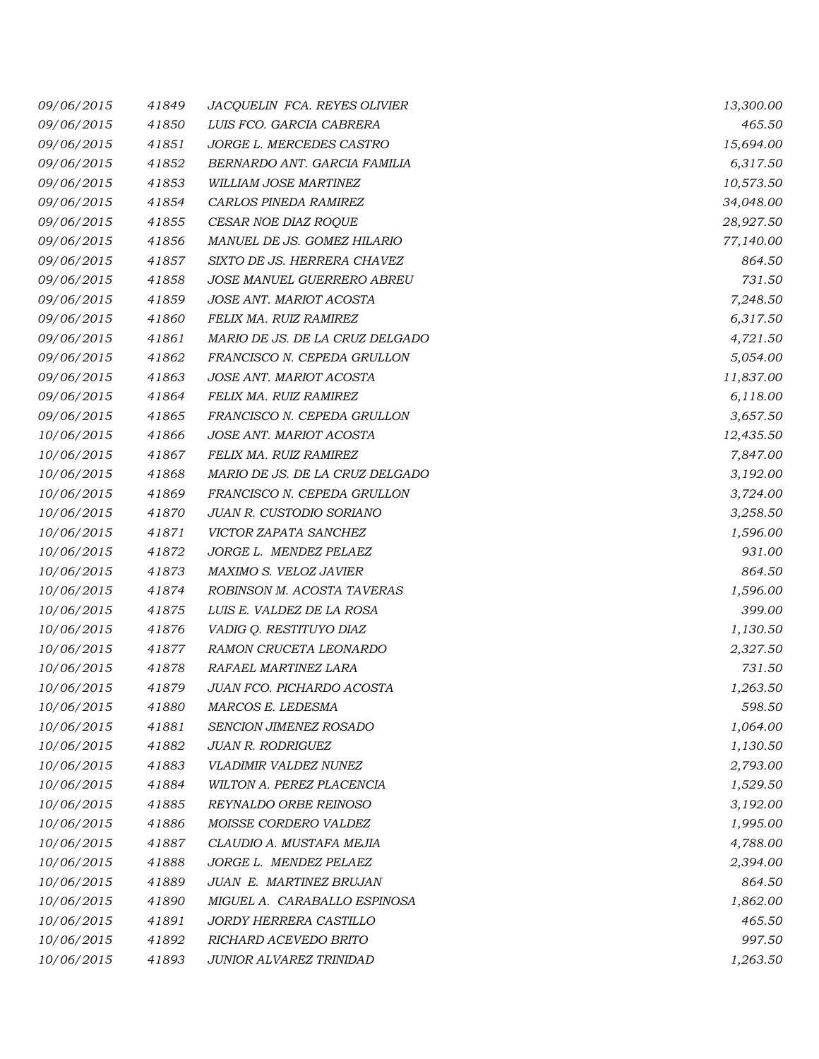| 09/06/2015 | 41849 | JACQUELIN FCA. REYES OLIVIER    | 13,300.00 |
|------------|-------|---------------------------------|-----------|
| 09/06/2015 | 41850 | LUIS FCO. GARCIA CABRERA        | 465.50    |
| 09/06/2015 | 41851 | JORGE L. MERCEDES CASTRO        | 15,694.00 |
| 09/06/2015 | 41852 | BERNARDO ANT. GARCIA FAMILIA    | 6,317.50  |
| 09/06/2015 | 41853 | WILLIAM JOSE MARTINEZ           | 10,573.50 |
| 09/06/2015 | 41854 | CARLOS PINEDA RAMIREZ           | 34,048.00 |
| 09/06/2015 | 41855 | CESAR NOE DIAZ ROQUE            | 28,927.50 |
| 09/06/2015 | 41856 | MANUEL DE JS. GOMEZ HILARIO     | 77,140.00 |
| 09/06/2015 | 41857 | SIXTO DE JS. HERRERA CHAVEZ     | 864.50    |
| 09/06/2015 | 41858 | JOSE MANUEL GUERRERO ABREU      | 731.50    |
| 09/06/2015 | 41859 | JOSE ANT. MARIOT ACOSTA         | 7,248.50  |
| 09/06/2015 | 41860 | FELIX MA. RUIZ RAMIREZ          | 6,317.50  |
| 09/06/2015 | 41861 | MARIO DE JS. DE LA CRUZ DELGADO | 4,721.50  |
| 09/06/2015 | 41862 | FRANCISCO N. CEPEDA GRULLON     | 5,054.00  |
| 09/06/2015 | 41863 | JOSE ANT. MARIOT ACOSTA         | 11,837.00 |
| 09/06/2015 | 41864 | FELIX MA. RUIZ RAMIREZ          | 6,118.00  |
| 09/06/2015 | 41865 | FRANCISCO N. CEPEDA GRULLON     | 3,657.50  |
| 10/06/2015 | 41866 | JOSE ANT. MARIOT ACOSTA         | 12,435.50 |
| 10/06/2015 | 41867 | FELIX MA. RUIZ RAMIREZ          | 7,847.00  |
| 10/06/2015 | 41868 | MARIO DE JS. DE LA CRUZ DELGADO | 3,192.00  |
| 10/06/2015 | 41869 | FRANCISCO N. CEPEDA GRULLON     | 3,724.00  |
| 10/06/2015 | 41870 | JUAN R. CUSTODIO SORIANO        | 3,258.50  |
| 10/06/2015 | 41871 | VICTOR ZAPATA SANCHEZ           | 1,596.00  |
| 10/06/2015 | 41872 | JORGE L. MENDEZ PELAEZ          | 931.00    |
| 10/06/2015 | 41873 | MAXIMO S. VELOZ JAVIER          | 864.50    |
| 10/06/2015 | 41874 | ROBINSON M. ACOSTA TAVERAS      | 1,596.00  |
| 10/06/2015 | 41875 | LUIS E. VALDEZ DE LA ROSA       | 399.00    |
| 10/06/2015 | 41876 | VADIG Q. RESTITUYO DIAZ         | 1,130.50  |
| 10/06/2015 | 41877 | RAMON CRUCETA LEONARDO          | 2,327.50  |
| 10/06/2015 | 41878 | RAFAEL MARTINEZ LARA            | 731.50    |
| 10/06/2015 | 41879 | JUAN FCO. PICHARDO ACOSTA       | 1,263.50  |
| 10/06/2015 | 41880 | MARCOS E. LEDESMA               | 598.50    |
| 10/06/2015 | 41881 | SENCION JIMENEZ ROSADO          | 1,064.00  |
| 10/06/2015 | 41882 | <b>JUAN R. RODRIGUEZ</b>        | 1,130.50  |
| 10/06/2015 | 41883 | VLADIMIR VALDEZ NUNEZ           | 2,793.00  |
| 10/06/2015 | 41884 | WILTON A. PEREZ PLACENCIA       | 1,529.50  |
| 10/06/2015 | 41885 | REYNALDO ORBE REINOSO           | 3,192.00  |
| 10/06/2015 | 41886 | MOISSE CORDERO VALDEZ           | 1,995.00  |
| 10/06/2015 | 41887 | CLAUDIO A. MUSTAFA MEJIA        | 4,788.00  |
| 10/06/2015 | 41888 | JORGE L. MENDEZ PELAEZ          | 2,394.00  |
| 10/06/2015 | 41889 | JUAN E. MARTINEZ BRUJAN         | 864.50    |
| 10/06/2015 | 41890 | MIGUEL A. CARABALLO ESPINOSA    | 1,862.00  |
| 10/06/2015 | 41891 | JORDY HERRERA CASTILLO          | 465.50    |
| 10/06/2015 | 41892 | RICHARD ACEVEDO BRITO           | 997.50    |
| 10/06/2015 | 41893 | JUNIOR ALVAREZ TRINIDAD         | 1,263.50  |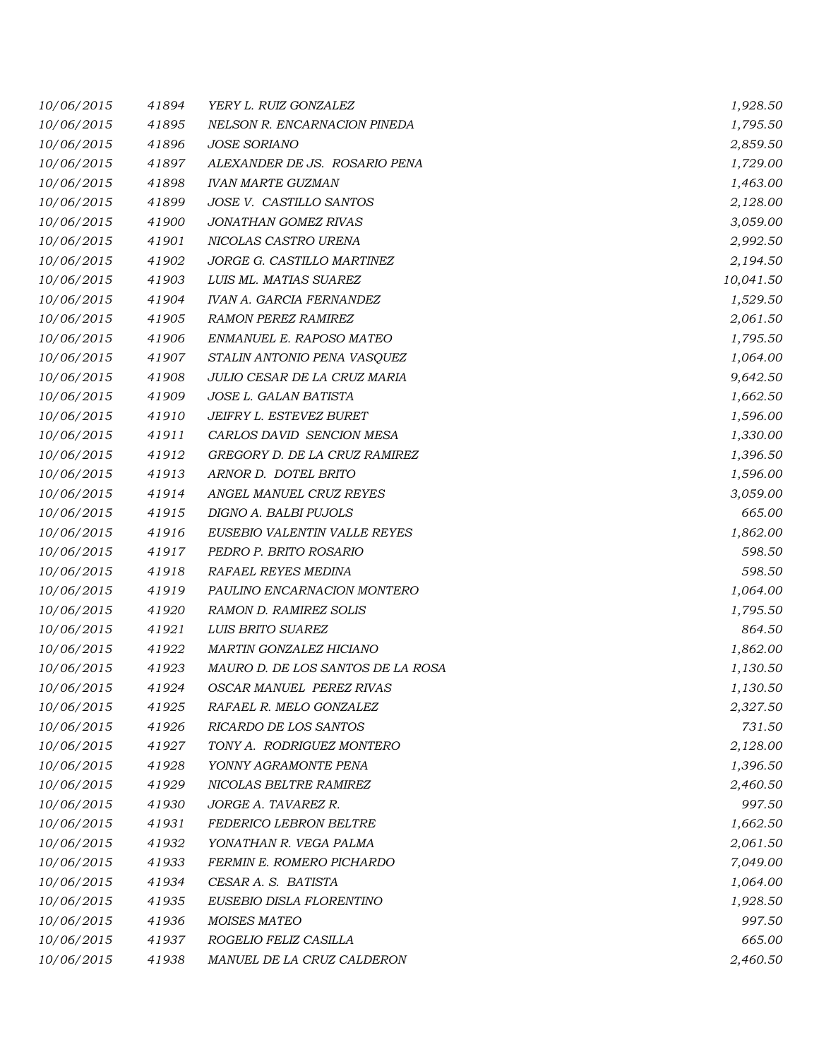| 10/06/2015 | 41894 | YERY L. RUIZ GONZALEZ             | 1,928.50  |
|------------|-------|-----------------------------------|-----------|
| 10/06/2015 | 41895 | NELSON R. ENCARNACION PINEDA      | 1,795.50  |
| 10/06/2015 | 41896 | <b>JOSE SORIANO</b>               | 2,859.50  |
| 10/06/2015 | 41897 | ALEXANDER DE JS. ROSARIO PENA     | 1,729.00  |
| 10/06/2015 | 41898 | <b>IVAN MARTE GUZMAN</b>          | 1,463.00  |
| 10/06/2015 | 41899 | JOSE V. CASTILLO SANTOS           | 2,128.00  |
| 10/06/2015 | 41900 | JONATHAN GOMEZ RIVAS              | 3,059.00  |
| 10/06/2015 | 41901 | NICOLAS CASTRO URENA              | 2,992.50  |
| 10/06/2015 | 41902 | JORGE G. CASTILLO MARTINEZ        | 2,194.50  |
| 10/06/2015 | 41903 | LUIS ML. MATIAS SUAREZ            | 10,041.50 |
| 10/06/2015 | 41904 | <b>IVAN A. GARCIA FERNANDEZ</b>   | 1,529.50  |
| 10/06/2015 | 41905 | <b>RAMON PEREZ RAMIREZ</b>        | 2,061.50  |
| 10/06/2015 | 41906 | ENMANUEL E. RAPOSO MATEO          | 1,795.50  |
| 10/06/2015 | 41907 | STALIN ANTONIO PENA VASQUEZ       | 1,064.00  |
| 10/06/2015 | 41908 | JULIO CESAR DE LA CRUZ MARIA      | 9,642.50  |
| 10/06/2015 | 41909 | JOSE L. GALAN BATISTA             | 1,662.50  |
| 10/06/2015 | 41910 | JEIFRY L. ESTEVEZ BURET           | 1,596.00  |
| 10/06/2015 | 41911 | CARLOS DAVID SENCION MESA         | 1,330.00  |
| 10/06/2015 | 41912 | GREGORY D. DE LA CRUZ RAMIREZ     | 1,396.50  |
| 10/06/2015 | 41913 | ARNOR D. DOTEL BRITO              | 1,596.00  |
| 10/06/2015 | 41914 | ANGEL MANUEL CRUZ REYES           | 3,059.00  |
| 10/06/2015 | 41915 | DIGNO A. BALBI PUJOLS             | 665.00    |
| 10/06/2015 | 41916 | EUSEBIO VALENTIN VALLE REYES      | 1,862.00  |
| 10/06/2015 | 41917 | PEDRO P. BRITO ROSARIO            | 598.50    |
| 10/06/2015 | 41918 | RAFAEL REYES MEDINA               | 598.50    |
| 10/06/2015 | 41919 | PAULINO ENCARNACION MONTERO       | 1,064.00  |
| 10/06/2015 | 41920 | <b>RAMON D. RAMIREZ SOLIS</b>     | 1,795.50  |
| 10/06/2015 | 41921 | LUIS BRITO SUAREZ                 | 864.50    |
| 10/06/2015 | 41922 | MARTIN GONZALEZ HICIANO           | 1,862.00  |
| 10/06/2015 | 41923 | MAURO D. DE LOS SANTOS DE LA ROSA | 1,130.50  |
| 10/06/2015 | 41924 | <b>OSCAR MANUEL PEREZ RIVAS</b>   | 1,130.50  |
| 10/06/2015 | 41925 | RAFAEL R. MELO GONZALEZ           | 2,327.50  |
| 10/06/2015 | 41926 | RICARDO DE LOS SANTOS             | 731.50    |
| 10/06/2015 | 41927 | TONY A. RODRIGUEZ MONTERO         | 2,128.00  |
| 10/06/2015 | 41928 | YONNY AGRAMONTE PENA              | 1,396.50  |
| 10/06/2015 | 41929 | NICOLAS BELTRE RAMIREZ            | 2,460.50  |
| 10/06/2015 | 41930 | JORGE A. TAVAREZ R.               | 997.50    |
| 10/06/2015 | 41931 | FEDERICO LEBRON BELTRE            | 1,662.50  |
| 10/06/2015 | 41932 | YONATHAN R. VEGA PALMA            | 2,061.50  |
| 10/06/2015 | 41933 | FERMIN E. ROMERO PICHARDO         | 7,049.00  |
| 10/06/2015 | 41934 | CESAR A. S. BATISTA               | 1,064.00  |
| 10/06/2015 | 41935 | EUSEBIO DISLA FLORENTINO          | 1,928.50  |
| 10/06/2015 | 41936 | MOISES MATEO                      | 997.50    |
| 10/06/2015 | 41937 | ROGELIO FELIZ CASILLA             | 665.00    |
| 10/06/2015 | 41938 | MANUEL DE LA CRUZ CALDERON        | 2,460.50  |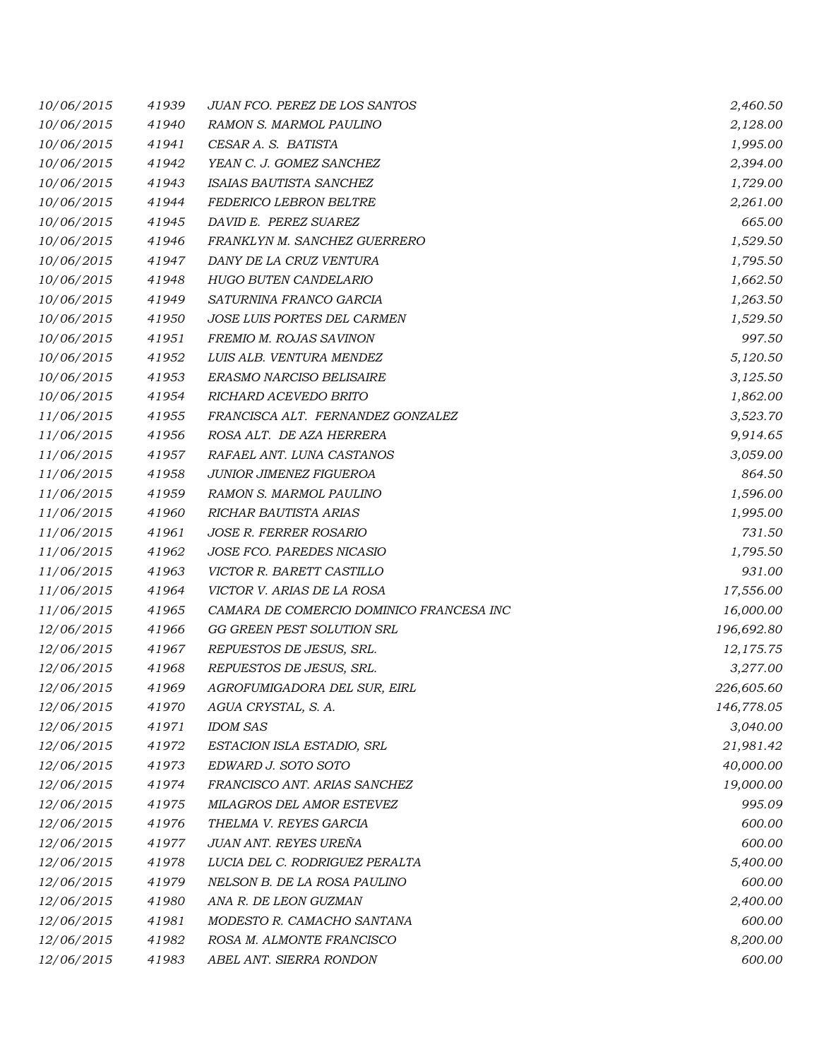| 10/06/2015 | 41939 | <b>JUAN FCO. PEREZ DE LOS SANTOS</b>     | 2,460.50   |
|------------|-------|------------------------------------------|------------|
| 10/06/2015 | 41940 | <b>RAMON S. MARMOL PAULINO</b>           | 2,128.00   |
| 10/06/2015 | 41941 | CESAR A. S. BATISTA                      | 1,995.00   |
| 10/06/2015 | 41942 | YEAN C. J. GOMEZ SANCHEZ                 | 2,394.00   |
| 10/06/2015 | 41943 | ISAIAS BAUTISTA SANCHEZ                  | 1,729.00   |
| 10/06/2015 | 41944 | FEDERICO LEBRON BELTRE                   | 2,261.00   |
| 10/06/2015 | 41945 | DAVID E. PEREZ SUAREZ                    | 665.00     |
| 10/06/2015 | 41946 | FRANKLYN M. SANCHEZ GUERRERO             | 1,529.50   |
| 10/06/2015 | 41947 | DANY DE LA CRUZ VENTURA                  | 1,795.50   |
| 10/06/2015 | 41948 | HUGO BUTEN CANDELARIO                    | 1,662.50   |
| 10/06/2015 | 41949 | SATURNINA FRANCO GARCIA                  | 1,263.50   |
| 10/06/2015 | 41950 | JOSE LUIS PORTES DEL CARMEN              | 1,529.50   |
| 10/06/2015 | 41951 | FREMIO M. ROJAS SAVINON                  | 997.50     |
| 10/06/2015 | 41952 | LUIS ALB. VENTURA MENDEZ                 | 5,120.50   |
| 10/06/2015 | 41953 | ERASMO NARCISO BELISAIRE                 | 3,125.50   |
| 10/06/2015 | 41954 | RICHARD ACEVEDO BRITO                    | 1,862.00   |
| 11/06/2015 | 41955 | FRANCISCA ALT. FERNANDEZ GONZALEZ        | 3,523.70   |
| 11/06/2015 | 41956 | ROSA ALT. DE AZA HERRERA                 | 9,914.65   |
| 11/06/2015 | 41957 | RAFAEL ANT. LUNA CASTANOS                | 3,059.00   |
| 11/06/2015 | 41958 | JUNIOR JIMENEZ FIGUEROA                  | 864.50     |
| 11/06/2015 | 41959 | RAMON S. MARMOL PAULINO                  | 1,596.00   |
| 11/06/2015 | 41960 | RICHAR BAUTISTA ARIAS                    | 1,995.00   |
| 11/06/2015 | 41961 | JOSE R. FERRER ROSARIO                   | 731.50     |
| 11/06/2015 | 41962 | JOSE FCO. PAREDES NICASIO                | 1,795.50   |
| 11/06/2015 | 41963 | VICTOR R. BARETT CASTILLO                | 931.00     |
| 11/06/2015 | 41964 | VICTOR V. ARIAS DE LA ROSA               | 17,556.00  |
| 11/06/2015 | 41965 | CAMARA DE COMERCIO DOMINICO FRANCESA INC | 16,000.00  |
| 12/06/2015 | 41966 | GG GREEN PEST SOLUTION SRL               | 196,692.80 |
| 12/06/2015 | 41967 | REPUESTOS DE JESUS, SRL.                 | 12,175.75  |
| 12/06/2015 | 41968 | REPUESTOS DE JESUS, SRL.                 | 3,277.00   |
| 12/06/2015 | 41969 | AGROFUMIGADORA DEL SUR, EIRL             | 226,605.60 |
| 12/06/2015 | 41970 | AGUA CRYSTAL, S. A.                      | 146,778.05 |
| 12/06/2015 | 41971 | <b>IDOM SAS</b>                          | 3,040.00   |
| 12/06/2015 | 41972 | ESTACION ISLA ESTADIO, SRL               | 21,981.42  |
| 12/06/2015 | 41973 | EDWARD J. SOTO SOTO                      | 40,000.00  |
| 12/06/2015 | 41974 | FRANCISCO ANT. ARIAS SANCHEZ             | 19,000.00  |
| 12/06/2015 | 41975 | MILAGROS DEL AMOR ESTEVEZ                | 995.09     |
| 12/06/2015 | 41976 | THELMA V. REYES GARCIA                   | 600.00     |
| 12/06/2015 | 41977 | JUAN ANT. REYES UREÑA                    | 600.00     |
| 12/06/2015 | 41978 | LUCIA DEL C. RODRIGUEZ PERALTA           | 5,400.00   |
| 12/06/2015 | 41979 | NELSON B. DE LA ROSA PAULINO             | 600.00     |
| 12/06/2015 | 41980 | ANA R. DE LEON GUZMAN                    | 2,400.00   |
| 12/06/2015 | 41981 | MODESTO R. CAMACHO SANTANA               | 600.00     |
| 12/06/2015 | 41982 | ROSA M. ALMONTE FRANCISCO                | 8,200.00   |
| 12/06/2015 | 41983 | ABEL ANT. SIERRA RONDON                  | 600.00     |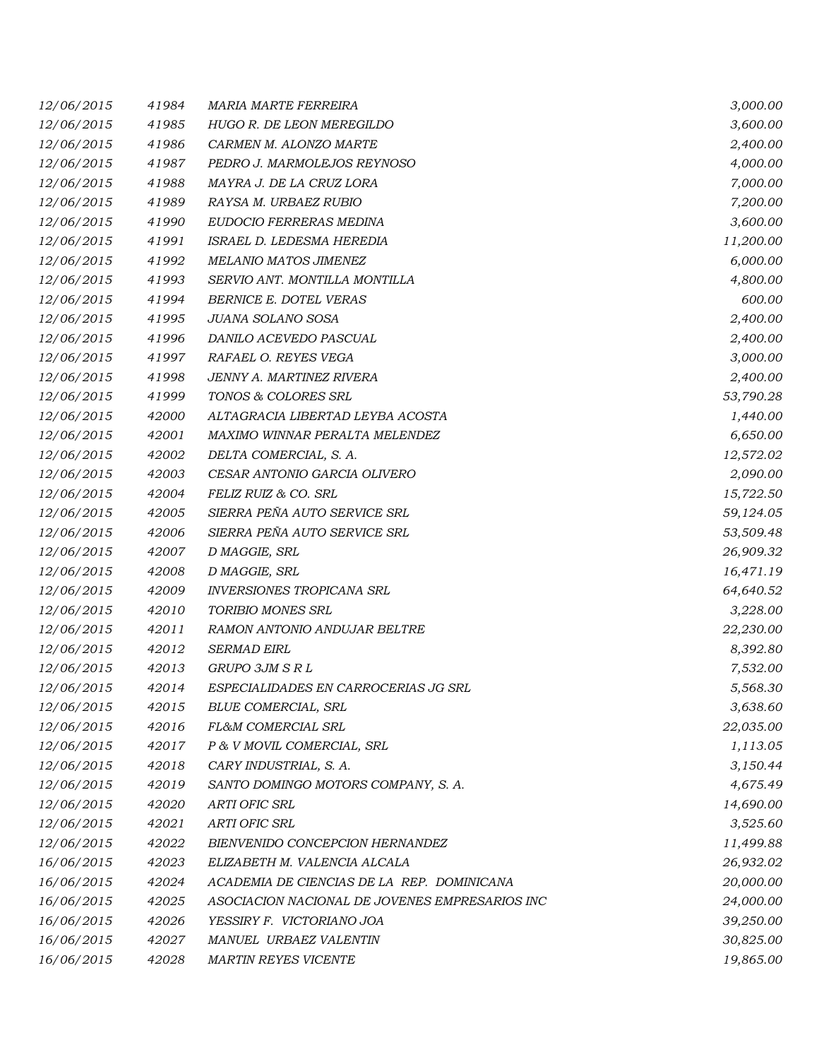| 12/06/2015 | 41984 | <b>MARIA MARTE FERREIRA</b>                    | 3,000.00  |
|------------|-------|------------------------------------------------|-----------|
| 12/06/2015 | 41985 | HUGO R. DE LEON MEREGILDO                      | 3,600.00  |
| 12/06/2015 | 41986 | CARMEN M. ALONZO MARTE                         | 2,400.00  |
| 12/06/2015 | 41987 | PEDRO J. MARMOLEJOS REYNOSO                    | 4,000.00  |
| 12/06/2015 | 41988 | MAYRA J. DE LA CRUZ LORA                       | 7,000.00  |
| 12/06/2015 | 41989 | RAYSA M. URBAEZ RUBIO                          | 7,200.00  |
| 12/06/2015 | 41990 | EUDOCIO FERRERAS MEDINA                        | 3,600.00  |
| 12/06/2015 | 41991 | ISRAEL D. LEDESMA HEREDIA                      | 11,200.00 |
| 12/06/2015 | 41992 | MELANIO MATOS JIMENEZ                          | 6,000.00  |
| 12/06/2015 | 41993 | SERVIO ANT. MONTILLA MONTILLA                  | 4,800.00  |
| 12/06/2015 | 41994 | BERNICE E. DOTEL VERAS                         | 600.00    |
| 12/06/2015 | 41995 | JUANA SOLANO SOSA                              | 2,400.00  |
| 12/06/2015 | 41996 | DANILO ACEVEDO PASCUAL                         | 2,400.00  |
| 12/06/2015 | 41997 | RAFAEL O. REYES VEGA                           | 3,000.00  |
| 12/06/2015 | 41998 | JENNY A. MARTINEZ RIVERA                       | 2,400.00  |
| 12/06/2015 | 41999 | TONOS & COLORES SRL                            | 53,790.28 |
| 12/06/2015 | 42000 | ALTAGRACIA LIBERTAD LEYBA ACOSTA               | 1,440.00  |
| 12/06/2015 | 42001 | MAXIMO WINNAR PERALTA MELENDEZ                 | 6,650.00  |
| 12/06/2015 | 42002 | DELTA COMERCIAL, S. A.                         | 12,572.02 |
| 12/06/2015 | 42003 | CESAR ANTONIO GARCIA OLIVERO                   | 2,090.00  |
| 12/06/2015 | 42004 | FELIZ RUIZ & CO. SRL                           | 15,722.50 |
| 12/06/2015 | 42005 | SIERRA PEÑA AUTO SERVICE SRL                   | 59,124.05 |
| 12/06/2015 | 42006 | SIERRA PEÑA AUTO SERVICE SRL                   | 53,509.48 |
| 12/06/2015 | 42007 | D MAGGIE, SRL                                  | 26,909.32 |
| 12/06/2015 | 42008 | D MAGGIE, SRL                                  | 16,471.19 |
| 12/06/2015 | 42009 | <b>INVERSIONES TROPICANA SRL</b>               | 64,640.52 |
| 12/06/2015 | 42010 | <b>TORIBIO MONES SRL</b>                       | 3,228.00  |
| 12/06/2015 | 42011 | RAMON ANTONIO ANDUJAR BELTRE                   | 22,230.00 |
| 12/06/2015 | 42012 | <b>SERMAD EIRL</b>                             | 8,392.80  |
| 12/06/2015 | 42013 | GRUPO 3JM S R L                                | 7,532.00  |
| 12/06/2015 | 42014 | ESPECIALIDADES EN CARROCERIAS JG SRL           | 5,568.30  |
| 12/06/2015 | 42015 | <b>BLUE COMERCIAL, SRL</b>                     | 3,638.60  |
| 12/06/2015 | 42016 | FL&M COMERCIAL SRL                             | 22,035.00 |
| 12/06/2015 | 42017 | P & V MOVIL COMERCIAL, SRL                     | 1,113.05  |
| 12/06/2015 | 42018 | CARY INDUSTRIAL, S. A.                         | 3,150.44  |
| 12/06/2015 | 42019 | SANTO DOMINGO MOTORS COMPANY, S. A.            | 4,675.49  |
| 12/06/2015 | 42020 | <b>ARTI OFIC SRL</b>                           | 14,690.00 |
| 12/06/2015 | 42021 | <b>ARTI OFIC SRL</b>                           | 3,525.60  |
| 12/06/2015 | 42022 | BIENVENIDO CONCEPCION HERNANDEZ                | 11,499.88 |
| 16/06/2015 | 42023 | ELIZABETH M. VALENCIA ALCALA                   | 26,932.02 |
| 16/06/2015 | 42024 | ACADEMIA DE CIENCIAS DE LA REP. DOMINICANA     | 20,000.00 |
| 16/06/2015 | 42025 | ASOCIACION NACIONAL DE JOVENES EMPRESARIOS INC | 24,000.00 |
| 16/06/2015 | 42026 | YESSIRY F. VICTORIANO JOA                      | 39,250.00 |
| 16/06/2015 | 42027 | MANUEL URBAEZ VALENTIN                         | 30,825.00 |
| 16/06/2015 | 42028 | <b>MARTIN REYES VICENTE</b>                    | 19,865.00 |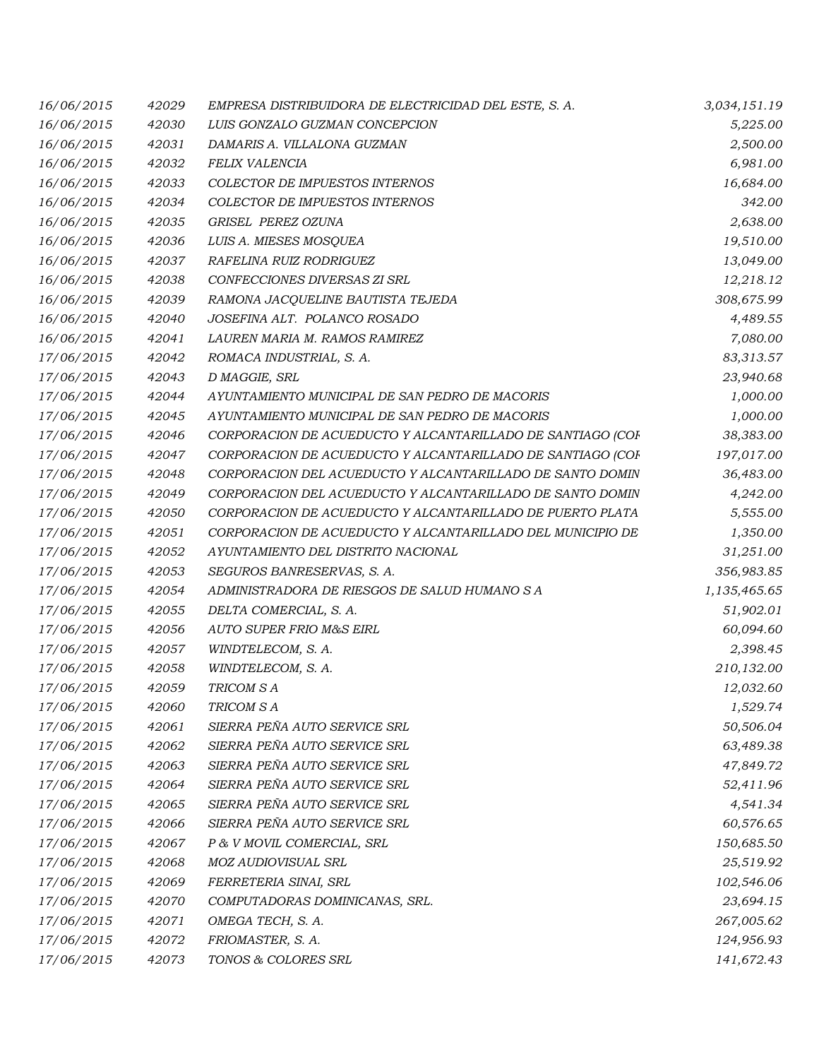| 16/06/2015 | 42029 | EMPRESA DISTRIBUIDORA DE ELECTRICIDAD DEL ESTE, S. A.      | 3,034,151.19 |
|------------|-------|------------------------------------------------------------|--------------|
| 16/06/2015 | 42030 | LUIS GONZALO GUZMAN CONCEPCION                             | 5,225.00     |
| 16/06/2015 | 42031 | DAMARIS A. VILLALONA GUZMAN                                | 2,500.00     |
| 16/06/2015 | 42032 | FELIX VALENCIA                                             | 6,981.00     |
| 16/06/2015 | 42033 | COLECTOR DE IMPUESTOS INTERNOS                             | 16,684.00    |
| 16/06/2015 | 42034 | <b>COLECTOR DE IMPUESTOS INTERNOS</b>                      | 342.00       |
| 16/06/2015 | 42035 | GRISEL PEREZ OZUNA                                         | 2,638.00     |
| 16/06/2015 | 42036 | LUIS A. MIESES MOSQUEA                                     | 19,510.00    |
| 16/06/2015 | 42037 | RAFELINA RUIZ RODRIGUEZ                                    | 13,049.00    |
| 16/06/2015 | 42038 | CONFECCIONES DIVERSAS ZI SRL                               | 12,218.12    |
| 16/06/2015 | 42039 | RAMONA JACQUELINE BAUTISTA TEJEDA                          | 308,675.99   |
| 16/06/2015 | 42040 | JOSEFINA ALT. POLANCO ROSADO                               | 4,489.55     |
| 16/06/2015 | 42041 | LAUREN MARIA M. RAMOS RAMIREZ                              | 7,080.00     |
| 17/06/2015 | 42042 | ROMACA INDUSTRIAL, S. A.                                   | 83,313.57    |
| 17/06/2015 | 42043 | D MAGGIE, SRL                                              | 23,940.68    |
| 17/06/2015 | 42044 | AYUNTAMIENTO MUNICIPAL DE SAN PEDRO DE MACORIS             | 1,000.00     |
| 17/06/2015 | 42045 | AYUNTAMIENTO MUNICIPAL DE SAN PEDRO DE MACORIS             | 1,000.00     |
| 17/06/2015 | 42046 | CORPORACION DE ACUEDUCTO Y ALCANTARILLADO DE SANTIAGO (COF | 38,383.00    |
| 17/06/2015 | 42047 | CORPORACION DE ACUEDUCTO Y ALCANTARILLADO DE SANTIAGO (COF | 197,017.00   |
| 17/06/2015 | 42048 | CORPORACION DEL ACUEDUCTO Y ALCANTARILLADO DE SANTO DOMIN  | 36,483.00    |
| 17/06/2015 | 42049 | CORPORACION DEL ACUEDUCTO Y ALCANTARILLADO DE SANTO DOMIN  | 4,242.00     |
| 17/06/2015 | 42050 | CORPORACION DE ACUEDUCTO Y ALCANTARILLADO DE PUERTO PLATA  | 5,555.00     |
| 17/06/2015 | 42051 | CORPORACION DE ACUEDUCTO Y ALCANTARILLADO DEL MUNICIPIO DE | 1,350.00     |
| 17/06/2015 | 42052 | AYUNTAMIENTO DEL DISTRITO NACIONAL                         | 31,251.00    |
| 17/06/2015 | 42053 | SEGUROS BANRESERVAS, S. A.                                 | 356,983.85   |
| 17/06/2015 | 42054 | ADMINISTRADORA DE RIESGOS DE SALUD HUMANO S A              | 1,135,465.65 |
| 17/06/2015 | 42055 | DELTA COMERCIAL, S. A.                                     | 51,902.01    |
| 17/06/2015 | 42056 | <b>AUTO SUPER FRIO M&amp;S EIRL</b>                        | 60,094.60    |
| 17/06/2015 | 42057 | WINDTELECOM, S. A.                                         | 2,398.45     |
| 17/06/2015 | 42058 | WINDTELECOM, S. A.                                         | 210,132.00   |
| 17/06/2015 | 42059 | TRICOM SA                                                  | 12,032.60    |
| 17/06/2015 | 42060 | TRICOM S A                                                 | 1,529.74     |
| 17/06/2015 | 42061 | SIERRA PEÑA AUTO SERVICE SRL                               | 50,506.04    |
| 17/06/2015 | 42062 | SIERRA PEÑA AUTO SERVICE SRL                               | 63,489.38    |
| 17/06/2015 | 42063 | SIERRA PEÑA AUTO SERVICE SRL                               | 47,849.72    |
| 17/06/2015 | 42064 | SIERRA PEÑA AUTO SERVICE SRL                               | 52,411.96    |
| 17/06/2015 | 42065 | SIERRA PEÑA AUTO SERVICE SRL                               | 4,541.34     |
| 17/06/2015 | 42066 | SIERRA PEÑA AUTO SERVICE SRL                               | 60,576.65    |
| 17/06/2015 | 42067 | P & V MOVIL COMERCIAL, SRL                                 | 150,685.50   |
| 17/06/2015 | 42068 | MOZ AUDIOVISUAL SRL                                        | 25,519.92    |
| 17/06/2015 | 42069 | FERRETERIA SINAI, SRL                                      | 102,546.06   |
| 17/06/2015 | 42070 | COMPUTADORAS DOMINICANAS, SRL.                             | 23,694.15    |
| 17/06/2015 | 42071 | OMEGA TECH, S. A.                                          | 267,005.62   |
| 17/06/2015 | 42072 | FRIOMASTER, S. A.                                          | 124,956.93   |
| 17/06/2015 | 42073 | TONOS & COLORES SRL                                        | 141,672.43   |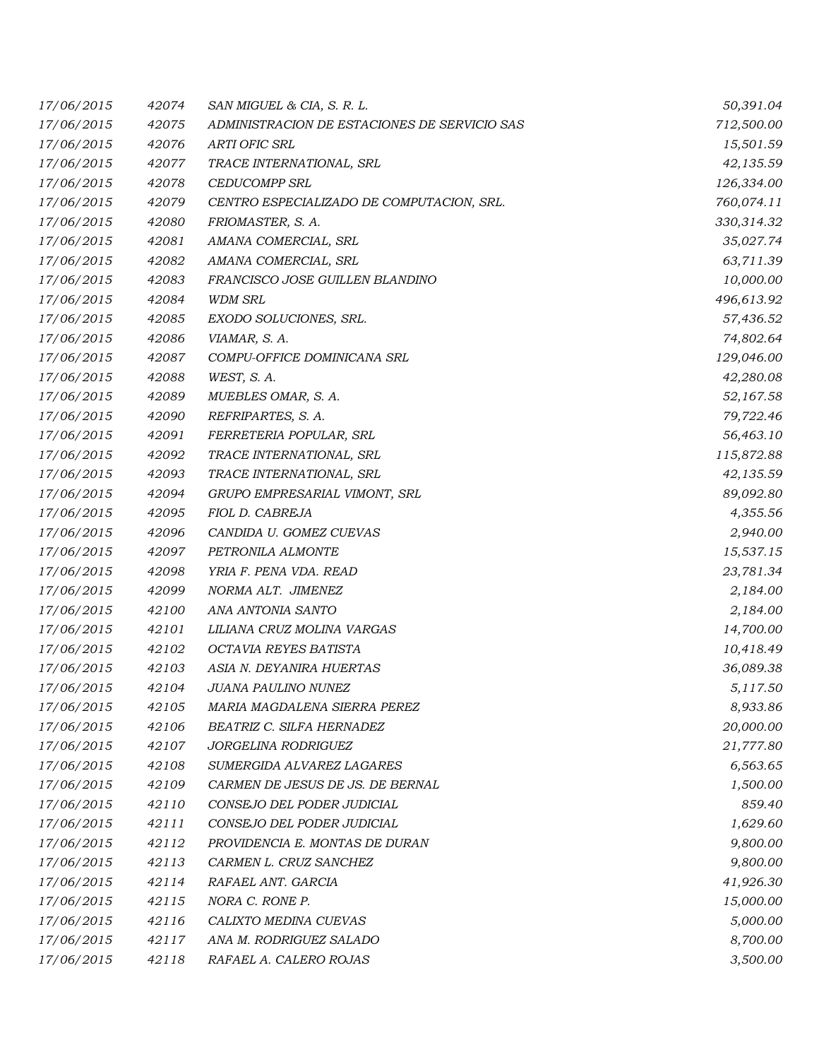| 17/06/2015 | 42074 | SAN MIGUEL & CIA, S. R. L.                   | 50,391.04  |
|------------|-------|----------------------------------------------|------------|
| 17/06/2015 | 42075 | ADMINISTRACION DE ESTACIONES DE SERVICIO SAS | 712,500.00 |
| 17/06/2015 | 42076 | <b>ARTI OFIC SRL</b>                         | 15,501.59  |
| 17/06/2015 | 42077 | TRACE INTERNATIONAL, SRL                     | 42,135.59  |
| 17/06/2015 | 42078 | <b>CEDUCOMPP SRL</b>                         | 126,334.00 |
| 17/06/2015 | 42079 | CENTRO ESPECIALIZADO DE COMPUTACION, SRL.    | 760,074.11 |
| 17/06/2015 | 42080 | FRIOMASTER, S. A.                            | 330,314.32 |
| 17/06/2015 | 42081 | AMANA COMERCIAL, SRL                         | 35,027.74  |
| 17/06/2015 | 42082 | AMANA COMERCIAL, SRL                         | 63,711.39  |
| 17/06/2015 | 42083 | FRANCISCO JOSE GUILLEN BLANDINO              | 10,000.00  |
| 17/06/2015 | 42084 | <b>WDM SRL</b>                               | 496,613.92 |
| 17/06/2015 | 42085 | EXODO SOLUCIONES, SRL.                       | 57,436.52  |
| 17/06/2015 | 42086 | VIAMAR, S. A.                                | 74,802.64  |
| 17/06/2015 | 42087 | COMPU-OFFICE DOMINICANA SRL                  | 129,046.00 |
| 17/06/2015 | 42088 | WEST, S.A.                                   | 42,280.08  |
| 17/06/2015 | 42089 | MUEBLES OMAR, S. A.                          | 52,167.58  |
| 17/06/2015 | 42090 | REFRIPARTES, S. A.                           | 79,722.46  |
| 17/06/2015 | 42091 | FERRETERIA POPULAR, SRL                      | 56,463.10  |
| 17/06/2015 | 42092 | TRACE INTERNATIONAL, SRL                     | 115,872.88 |
| 17/06/2015 | 42093 | TRACE INTERNATIONAL, SRL                     | 42,135.59  |
| 17/06/2015 | 42094 | GRUPO EMPRESARIAL VIMONT, SRL                | 89,092.80  |
| 17/06/2015 | 42095 | FIOL D. CABREJA                              | 4,355.56   |
| 17/06/2015 | 42096 | CANDIDA U. GOMEZ CUEVAS                      | 2,940.00   |
| 17/06/2015 | 42097 | PETRONILA ALMONTE                            | 15,537.15  |
| 17/06/2015 | 42098 | YRIA F. PENA VDA. READ                       | 23,781.34  |
| 17/06/2015 | 42099 | NORMA ALT. JIMENEZ                           | 2,184.00   |
| 17/06/2015 | 42100 | ANA ANTONIA SANTO                            | 2,184.00   |
| 17/06/2015 | 42101 | LILIANA CRUZ MOLINA VARGAS                   | 14,700.00  |
| 17/06/2015 | 42102 | OCTAVIA REYES BATISTA                        | 10,418.49  |
| 17/06/2015 | 42103 | ASIA N. DEYANIRA HUERTAS                     | 36,089.38  |
| 17/06/2015 | 42104 | <b>JUANA PAULINO NUNEZ</b>                   | 5,117.50   |
| 17/06/2015 | 42105 | MARIA MAGDALENA SIERRA PEREZ                 | 8,933.86   |
| 17/06/2015 | 42106 | BEATRIZ C. SILFA HERNADEZ                    | 20,000.00  |
| 17/06/2015 | 42107 | JORGELINA RODRIGUEZ                          | 21,777.80  |
| 17/06/2015 | 42108 | SUMERGIDA ALVAREZ LAGARES                    | 6,563.65   |
| 17/06/2015 | 42109 | CARMEN DE JESUS DE JS. DE BERNAL             | 1,500.00   |
| 17/06/2015 | 42110 | CONSEJO DEL PODER JUDICIAL                   | 859.40     |
| 17/06/2015 | 42111 | CONSEJO DEL PODER JUDICIAL                   | 1,629.60   |
| 17/06/2015 | 42112 | PROVIDENCIA E. MONTAS DE DURAN               | 9,800.00   |
| 17/06/2015 | 42113 | CARMEN L. CRUZ SANCHEZ                       | 9,800.00   |
| 17/06/2015 | 42114 | RAFAEL ANT. GARCIA                           | 41,926.30  |
| 17/06/2015 | 42115 | NORA C. RONE P.                              | 15,000.00  |
| 17/06/2015 | 42116 | CALIXTO MEDINA CUEVAS                        | 5,000.00   |
| 17/06/2015 | 42117 | ANA M. RODRIGUEZ SALADO                      | 8,700.00   |
| 17/06/2015 | 42118 | RAFAEL A. CALERO ROJAS                       | 3,500.00   |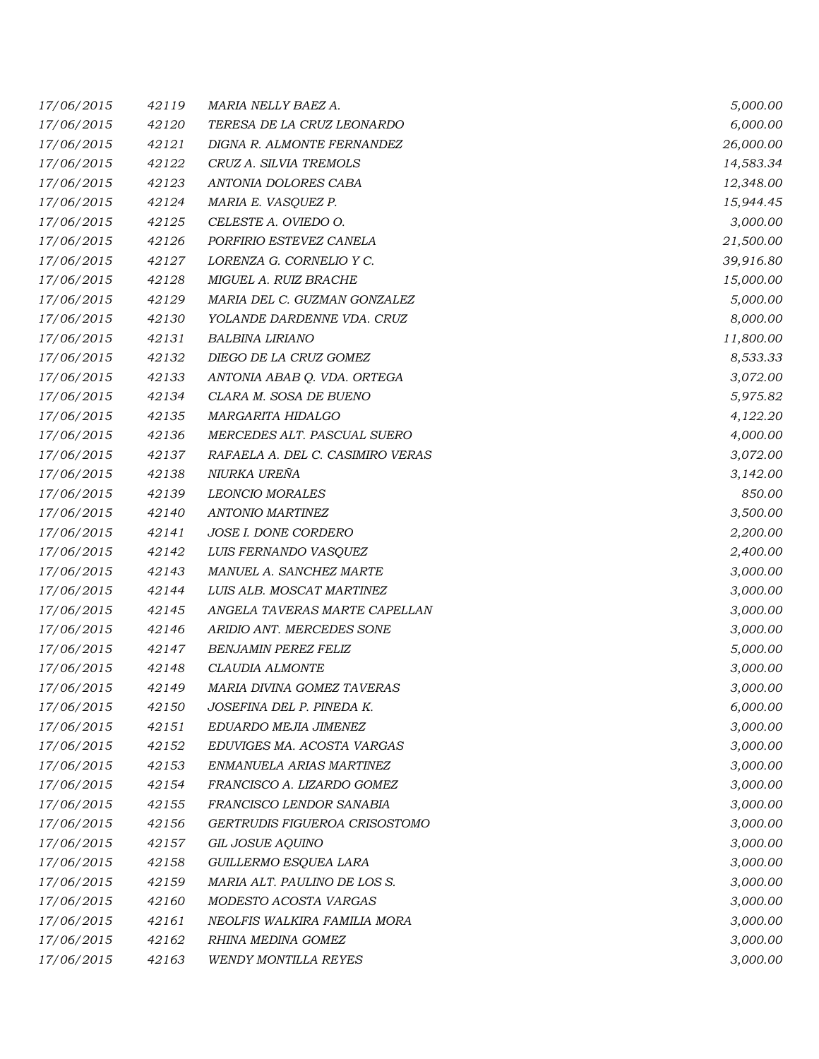| 17/06/2015 | 42119 | MARIA NELLY BAEZ A.              | 5,000.00  |
|------------|-------|----------------------------------|-----------|
| 17/06/2015 | 42120 | TERESA DE LA CRUZ LEONARDO       | 6,000.00  |
| 17/06/2015 | 42121 | DIGNA R. ALMONTE FERNANDEZ       | 26,000.00 |
| 17/06/2015 | 42122 | CRUZ A. SILVIA TREMOLS           | 14,583.34 |
| 17/06/2015 | 42123 | ANTONIA DOLORES CABA             | 12,348.00 |
| 17/06/2015 | 42124 | MARIA E. VASQUEZ P.              | 15,944.45 |
| 17/06/2015 | 42125 | CELESTE A. OVIEDO O.             | 3,000.00  |
| 17/06/2015 | 42126 | PORFIRIO ESTEVEZ CANELA          | 21,500.00 |
| 17/06/2015 | 42127 | LORENZA G. CORNELIO Y C.         | 39,916.80 |
| 17/06/2015 | 42128 | MIGUEL A. RUIZ BRACHE            | 15,000.00 |
| 17/06/2015 | 42129 | MARIA DEL C. GUZMAN GONZALEZ     | 5,000.00  |
| 17/06/2015 | 42130 | YOLANDE DARDENNE VDA. CRUZ       | 8,000.00  |
| 17/06/2015 | 42131 | BALBINA LIRIANO                  | 11,800.00 |
| 17/06/2015 | 42132 | DIEGO DE LA CRUZ GOMEZ           | 8,533.33  |
| 17/06/2015 | 42133 | ANTONIA ABAB Q. VDA. ORTEGA      | 3,072.00  |
| 17/06/2015 | 42134 | CLARA M. SOSA DE BUENO           | 5,975.82  |
| 17/06/2015 | 42135 | MARGARITA HIDALGO                | 4,122.20  |
| 17/06/2015 | 42136 | MERCEDES ALT. PASCUAL SUERO      | 4,000.00  |
| 17/06/2015 | 42137 | RAFAELA A. DEL C. CASIMIRO VERAS | 3,072.00  |
| 17/06/2015 | 42138 | NIURKA UREÑA                     | 3,142.00  |
| 17/06/2015 | 42139 | <b>LEONCIO MORALES</b>           | 850.00    |
| 17/06/2015 | 42140 | ANTONIO MARTINEZ                 | 3,500.00  |
| 17/06/2015 | 42141 | JOSE I. DONE CORDERO             | 2,200.00  |
| 17/06/2015 | 42142 | LUIS FERNANDO VASQUEZ            | 2,400.00  |
| 17/06/2015 | 42143 | MANUEL A. SANCHEZ MARTE          | 3,000.00  |
| 17/06/2015 | 42144 | LUIS ALB. MOSCAT MARTINEZ        | 3,000.00  |
| 17/06/2015 | 42145 | ANGELA TAVERAS MARTE CAPELLAN    | 3,000.00  |
| 17/06/2015 | 42146 | ARIDIO ANT. MERCEDES SONE        | 3,000.00  |
| 17/06/2015 | 42147 | <b>BENJAMIN PEREZ FELIZ</b>      | 5,000.00  |
| 17/06/2015 | 42148 | <b>CLAUDIA ALMONTE</b>           | 3,000.00  |
| 17/06/2015 | 42149 | MARIA DIVINA GOMEZ TAVERAS       | 3,000.00  |
| 17/06/2015 | 42150 | JOSEFINA DEL P. PINEDA K.        | 6,000.00  |
| 17/06/2015 | 42151 | EDUARDO MEJIA JIMENEZ            | 3,000.00  |
| 17/06/2015 | 42152 | EDUVIGES MA. ACOSTA VARGAS       | 3,000.00  |
| 17/06/2015 | 42153 | ENMANUELA ARIAS MARTINEZ         | 3,000.00  |
| 17/06/2015 | 42154 | FRANCISCO A. LIZARDO GOMEZ       | 3,000.00  |
| 17/06/2015 | 42155 | FRANCISCO LENDOR SANABIA         | 3,000.00  |
| 17/06/2015 | 42156 | GERTRUDIS FIGUEROA CRISOSTOMO    | 3,000.00  |
| 17/06/2015 | 42157 | GIL JOSUE AQUINO                 | 3,000.00  |
| 17/06/2015 | 42158 | GUILLERMO ESQUEA LARA            | 3,000.00  |
| 17/06/2015 | 42159 | MARIA ALT. PAULINO DE LOS S.     | 3,000.00  |
| 17/06/2015 | 42160 | MODESTO ACOSTA VARGAS            | 3,000.00  |
| 17/06/2015 | 42161 | NEOLFIS WALKIRA FAMILIA MORA     | 3,000.00  |
| 17/06/2015 | 42162 | RHINA MEDINA GOMEZ               | 3,000.00  |
| 17/06/2015 | 42163 | WENDY MONTILLA REYES             | 3,000.00  |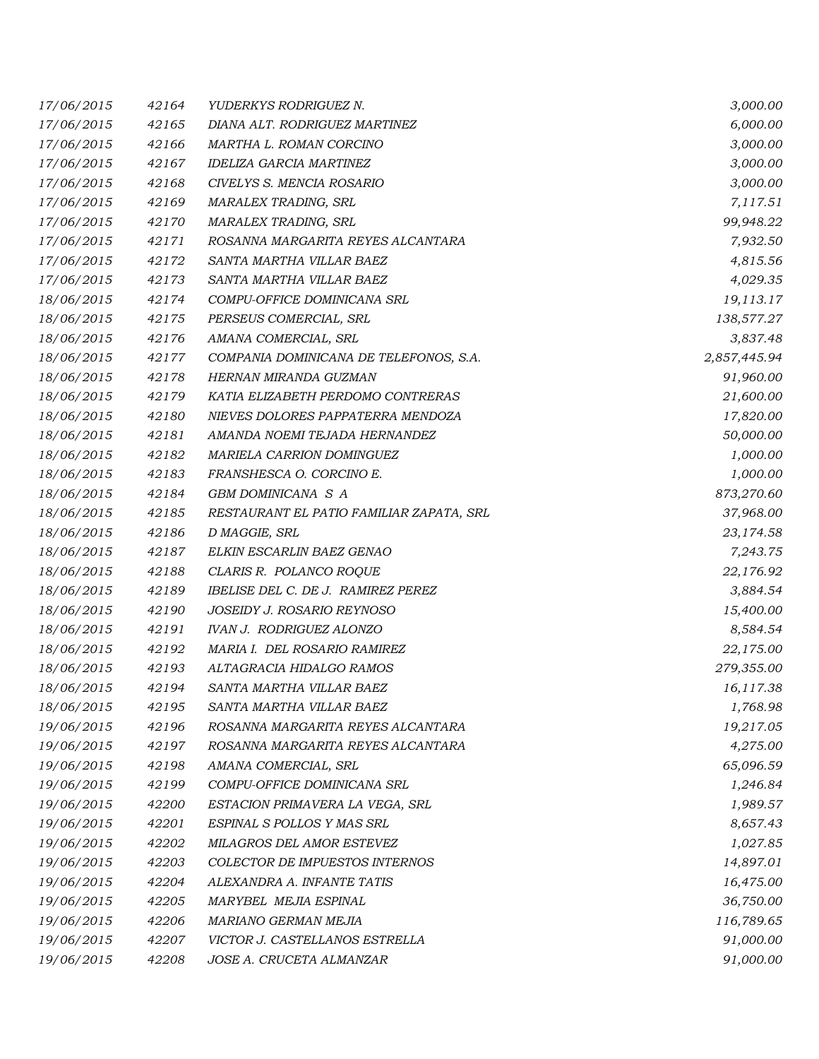| 17/06/2015 | 42164 | YUDERKYS RODRIGUEZ N.                    | 3,000.00     |
|------------|-------|------------------------------------------|--------------|
| 17/06/2015 | 42165 | DIANA ALT. RODRIGUEZ MARTINEZ            | 6,000.00     |
| 17/06/2015 | 42166 | MARTHA L. ROMAN CORCINO                  | 3,000.00     |
| 17/06/2015 | 42167 | <b>IDELIZA GARCIA MARTINEZ</b>           | 3,000.00     |
| 17/06/2015 | 42168 | CIVELYS S. MENCIA ROSARIO                | 3,000.00     |
| 17/06/2015 | 42169 | MARALEX TRADING, SRL                     | 7,117.51     |
| 17/06/2015 | 42170 | MARALEX TRADING, SRL                     | 99,948.22    |
| 17/06/2015 | 42171 | ROSANNA MARGARITA REYES ALCANTARA        | 7,932.50     |
| 17/06/2015 | 42172 | SANTA MARTHA VILLAR BAEZ                 | 4,815.56     |
| 17/06/2015 | 42173 | SANTA MARTHA VILLAR BAEZ                 | 4,029.35     |
| 18/06/2015 | 42174 | COMPU-OFFICE DOMINICANA SRL              | 19,113.17    |
| 18/06/2015 | 42175 | PERSEUS COMERCIAL, SRL                   | 138,577.27   |
| 18/06/2015 | 42176 | AMANA COMERCIAL, SRL                     | 3,837.48     |
| 18/06/2015 | 42177 | COMPANIA DOMINICANA DE TELEFONOS, S.A.   | 2,857,445.94 |
| 18/06/2015 | 42178 | HERNAN MIRANDA GUZMAN                    | 91,960.00    |
| 18/06/2015 | 42179 | KATIA ELIZABETH PERDOMO CONTRERAS        | 21,600.00    |
| 18/06/2015 | 42180 | NIEVES DOLORES PAPPATERRA MENDOZA        | 17,820.00    |
| 18/06/2015 | 42181 | AMANDA NOEMI TEJADA HERNANDEZ            | 50,000.00    |
| 18/06/2015 | 42182 | MARIELA CARRION DOMINGUEZ                | 1,000.00     |
| 18/06/2015 | 42183 | FRANSHESCA O. CORCINO E.                 | 1,000.00     |
| 18/06/2015 | 42184 | GBM DOMINICANA S A                       | 873,270.60   |
| 18/06/2015 | 42185 | RESTAURANT EL PATIO FAMILIAR ZAPATA, SRL | 37,968.00    |
| 18/06/2015 | 42186 | D MAGGIE, SRL                            | 23,174.58    |
| 18/06/2015 | 42187 | ELKIN ESCARLIN BAEZ GENAO                | 7,243.75     |
| 18/06/2015 | 42188 | CLARIS R. POLANCO ROQUE                  | 22,176.92    |
| 18/06/2015 | 42189 | IBELISE DEL C. DE J. RAMIREZ PEREZ       | 3,884.54     |
| 18/06/2015 | 42190 | <i>JOSEIDY J. ROSARIO REYNOSO</i>        | 15,400.00    |
| 18/06/2015 | 42191 | <b>IVAN J. RODRIGUEZ ALONZO</b>          | 8,584.54     |
| 18/06/2015 | 42192 | MARIA I. DEL ROSARIO RAMIREZ             | 22,175.00    |
| 18/06/2015 | 42193 | ALTAGRACIA HIDALGO RAMOS                 | 279,355.00   |
| 18/06/2015 | 42194 | SANTA MARTHA VILLAR BAEZ                 | 16,117.38    |
| 18/06/2015 | 42195 | SANTA MARTHA VILLAR BAEZ                 | 1,768.98     |
| 19/06/2015 | 42196 | ROSANNA MARGARITA REYES ALCANTARA        | 19,217.05    |
| 19/06/2015 | 42197 | ROSANNA MARGARITA REYES ALCANTARA        | 4,275.00     |
| 19/06/2015 | 42198 | AMANA COMERCIAL, SRL                     | 65,096.59    |
| 19/06/2015 | 42199 | COMPU-OFFICE DOMINICANA SRL              | 1,246.84     |
| 19/06/2015 | 42200 | ESTACION PRIMAVERA LA VEGA, SRL          | 1,989.57     |
| 19/06/2015 | 42201 | ESPINAL S POLLOS Y MAS SRL               | 8,657.43     |
| 19/06/2015 | 42202 | MILAGROS DEL AMOR ESTEVEZ                | 1,027.85     |
| 19/06/2015 | 42203 | COLECTOR DE IMPUESTOS INTERNOS           | 14,897.01    |
| 19/06/2015 | 42204 | ALEXANDRA A. INFANTE TATIS               | 16,475.00    |
| 19/06/2015 | 42205 | MARYBEL MEJIA ESPINAL                    | 36,750.00    |
| 19/06/2015 | 42206 | MARIANO GERMAN MEJIA                     | 116,789.65   |
| 19/06/2015 | 42207 | VICTOR J. CASTELLANOS ESTRELLA           | 91,000.00    |
| 19/06/2015 | 42208 | JOSE A. CRUCETA ALMANZAR                 | 91,000.00    |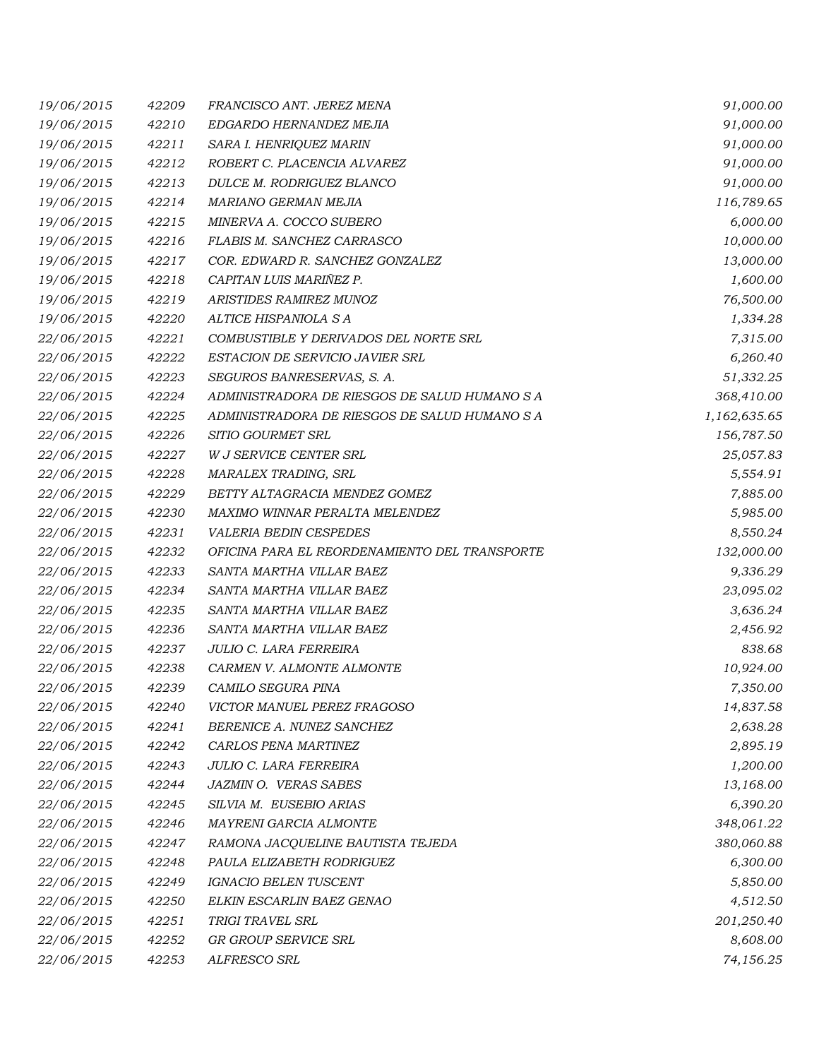| 19/06/2015 | 42209 | FRANCISCO ANT. JEREZ MENA                     | 91,000.00    |
|------------|-------|-----------------------------------------------|--------------|
| 19/06/2015 | 42210 | EDGARDO HERNANDEZ MEJIA                       | 91,000.00    |
| 19/06/2015 | 42211 | SARA I. HENRIQUEZ MARIN                       | 91,000.00    |
| 19/06/2015 | 42212 | ROBERT C. PLACENCIA ALVAREZ                   | 91,000.00    |
| 19/06/2015 | 42213 | DULCE M. RODRIGUEZ BLANCO                     | 91,000.00    |
| 19/06/2015 | 42214 | MARIANO GERMAN MEJIA                          | 116,789.65   |
| 19/06/2015 | 42215 | MINERVA A. COCCO SUBERO                       | 6,000.00     |
| 19/06/2015 | 42216 | FLABIS M. SANCHEZ CARRASCO                    | 10,000.00    |
| 19/06/2015 | 42217 | COR. EDWARD R. SANCHEZ GONZALEZ               | 13,000.00    |
| 19/06/2015 | 42218 | CAPITAN LUIS MARIÑEZ P.                       | 1,600.00     |
| 19/06/2015 | 42219 | ARISTIDES RAMIREZ MUNOZ                       | 76,500.00    |
| 19/06/2015 | 42220 | ALTICE HISPANIOLA S A                         | 1,334.28     |
| 22/06/2015 | 42221 | COMBUSTIBLE Y DERIVADOS DEL NORTE SRL         | 7,315.00     |
| 22/06/2015 | 42222 | ESTACION DE SERVICIO JAVIER SRL               | 6,260.40     |
| 22/06/2015 | 42223 | SEGUROS BANRESERVAS, S. A.                    | 51,332.25    |
| 22/06/2015 | 42224 | ADMINISTRADORA DE RIESGOS DE SALUD HUMANO S A | 368,410.00   |
| 22/06/2015 | 42225 | ADMINISTRADORA DE RIESGOS DE SALUD HUMANO S A | 1,162,635.65 |
| 22/06/2015 | 42226 | SITIO GOURMET SRL                             | 156,787.50   |
| 22/06/2015 | 42227 | W J SERVICE CENTER SRL                        | 25,057.83    |
| 22/06/2015 | 42228 | MARALEX TRADING, SRL                          | 5,554.91     |
| 22/06/2015 | 42229 | BETTY ALTAGRACIA MENDEZ GOMEZ                 | 7,885.00     |
| 22/06/2015 | 42230 | MAXIMO WINNAR PERALTA MELENDEZ                | 5,985.00     |
| 22/06/2015 | 42231 | <b>VALERIA BEDIN CESPEDES</b>                 | 8,550.24     |
| 22/06/2015 | 42232 | OFICINA PARA EL REORDENAMIENTO DEL TRANSPORTE | 132,000.00   |
| 22/06/2015 | 42233 | SANTA MARTHA VILLAR BAEZ                      | 9,336.29     |
| 22/06/2015 | 42234 | SANTA MARTHA VILLAR BAEZ                      | 23,095.02    |
| 22/06/2015 | 42235 | SANTA MARTHA VILLAR BAEZ                      | 3,636.24     |
| 22/06/2015 | 42236 | SANTA MARTHA VILLAR BAEZ                      | 2,456.92     |
| 22/06/2015 | 42237 | <b>JULIO C. LARA FERREIRA</b>                 | 838.68       |
| 22/06/2015 | 42238 | CARMEN V. ALMONTE ALMONTE                     | 10,924.00    |
| 22/06/2015 | 42239 | CAMILO SEGURA PINA                            | 7,350.00     |
| 22/06/2015 | 42240 | VICTOR MANUEL PEREZ FRAGOSO                   | 14,837.58    |
| 22/06/2015 | 42241 | BERENICE A. NUNEZ SANCHEZ                     | 2,638.28     |
| 22/06/2015 | 42242 | CARLOS PENA MARTINEZ                          | 2,895.19     |
| 22/06/2015 | 42243 | JULIO C. LARA FERREIRA                        | 1,200.00     |
| 22/06/2015 | 42244 | JAZMIN O. VERAS SABES                         | 13,168.00    |
| 22/06/2015 | 42245 | SILVIA M. EUSEBIO ARIAS                       | 6,390.20     |
| 22/06/2015 | 42246 | MAYRENI GARCIA ALMONTE                        | 348,061.22   |
| 22/06/2015 | 42247 | RAMONA JACQUELINE BAUTISTA TEJEDA             | 380,060.88   |
| 22/06/2015 | 42248 | PAULA ELIZABETH RODRIGUEZ                     | 6,300.00     |
| 22/06/2015 | 42249 | IGNACIO BELEN TUSCENT                         | 5,850.00     |
| 22/06/2015 | 42250 | ELKIN ESCARLIN BAEZ GENAO                     | 4,512.50     |
| 22/06/2015 | 42251 | TRIGI TRAVEL SRL                              | 201,250.40   |
| 22/06/2015 | 42252 | GR GROUP SERVICE SRL                          | 8,608.00     |
| 22/06/2015 | 42253 | ALFRESCO SRL                                  | 74,156.25    |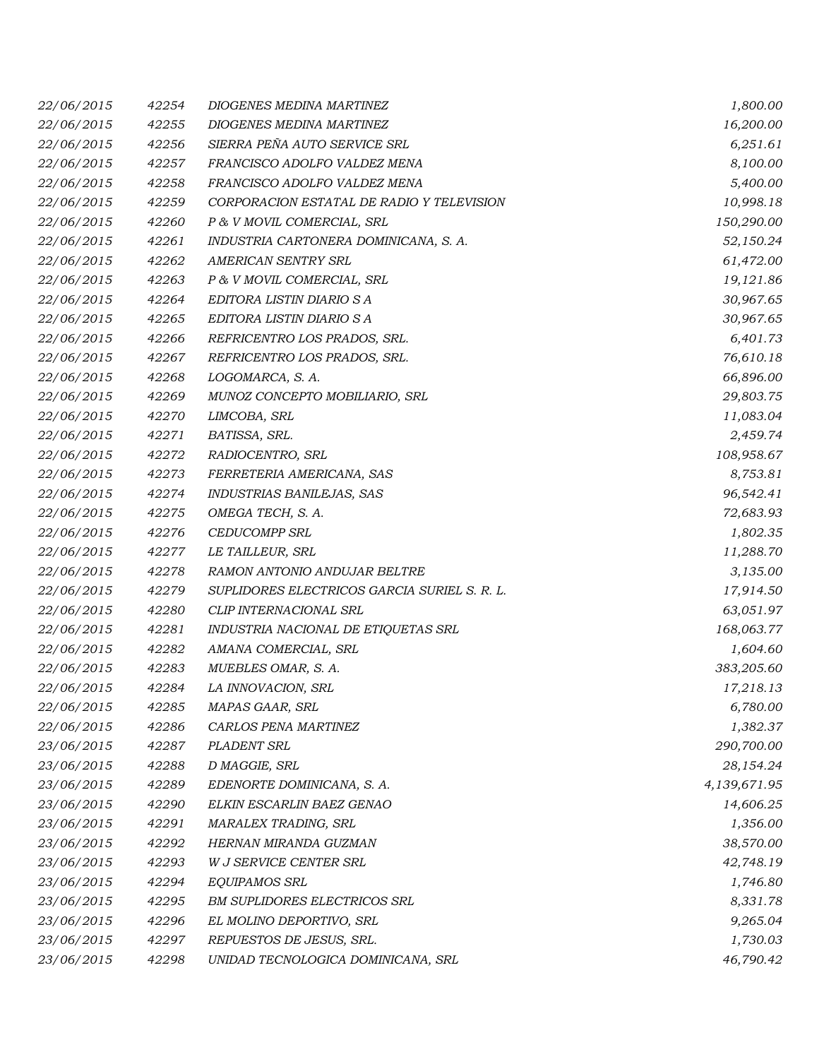| 22/06/2015 | 42254 | DIOGENES MEDINA MARTINEZ                     | 1,800.00     |
|------------|-------|----------------------------------------------|--------------|
| 22/06/2015 | 42255 | DIOGENES MEDINA MARTINEZ                     | 16,200.00    |
| 22/06/2015 | 42256 | SIERRA PEÑA AUTO SERVICE SRL                 | 6,251.61     |
| 22/06/2015 | 42257 | FRANCISCO ADOLFO VALDEZ MENA                 | 8,100.00     |
| 22/06/2015 | 42258 | FRANCISCO ADOLFO VALDEZ MENA                 | 5,400.00     |
| 22/06/2015 | 42259 | CORPORACION ESTATAL DE RADIO Y TELEVISION    | 10,998.18    |
| 22/06/2015 | 42260 | P & V MOVIL COMERCIAL, SRL                   | 150,290.00   |
| 22/06/2015 | 42261 | INDUSTRIA CARTONERA DOMINICANA, S. A.        | 52,150.24    |
| 22/06/2015 | 42262 | AMERICAN SENTRY SRL                          | 61,472.00    |
| 22/06/2015 | 42263 | P & V MOVIL COMERCIAL, SRL                   | 19,121.86    |
| 22/06/2015 | 42264 | EDITORA LISTIN DIARIO S A                    | 30,967.65    |
| 22/06/2015 | 42265 | EDITORA LISTIN DIARIO S A                    | 30,967.65    |
| 22/06/2015 | 42266 | REFRICENTRO LOS PRADOS, SRL.                 | 6,401.73     |
| 22/06/2015 | 42267 | REFRICENTRO LOS PRADOS, SRL.                 | 76,610.18    |
| 22/06/2015 | 42268 | LOGOMARCA, S. A.                             | 66,896.00    |
| 22/06/2015 | 42269 | MUNOZ CONCEPTO MOBILIARIO, SRL               | 29,803.75    |
| 22/06/2015 | 42270 | LIMCOBA, SRL                                 | 11,083.04    |
| 22/06/2015 | 42271 | BATISSA, SRL.                                | 2,459.74     |
| 22/06/2015 | 42272 | RADIOCENTRO, SRL                             | 108,958.67   |
| 22/06/2015 | 42273 | FERRETERIA AMERICANA, SAS                    | 8,753.81     |
| 22/06/2015 | 42274 | INDUSTRIAS BANILEJAS, SAS                    | 96,542.41    |
| 22/06/2015 | 42275 | OMEGA TECH, S. A.                            | 72,683.93    |
| 22/06/2015 | 42276 | <b>CEDUCOMPP SRL</b>                         | 1,802.35     |
| 22/06/2015 | 42277 | LE TAILLEUR, SRL                             | 11,288.70    |
| 22/06/2015 | 42278 | RAMON ANTONIO ANDUJAR BELTRE                 | 3,135.00     |
| 22/06/2015 | 42279 | SUPLIDORES ELECTRICOS GARCIA SURIEL S. R. L. | 17,914.50    |
| 22/06/2015 | 42280 | CLIP INTERNACIONAL SRL                       | 63,051.97    |
| 22/06/2015 | 42281 | INDUSTRIA NACIONAL DE ETIQUETAS SRL          | 168,063.77   |
| 22/06/2015 | 42282 | AMANA COMERCIAL, SRL                         | 1,604.60     |
| 22/06/2015 | 42283 | MUEBLES OMAR, S. A.                          | 383,205.60   |
| 22/06/2015 | 42284 | LA INNOVACION, SRL                           | 17,218.13    |
| 22/06/2015 | 42285 | MAPAS GAAR, SRL                              | 6,780.00     |
| 22/06/2015 | 42286 | CARLOS PENA MARTINEZ                         | 1,382.37     |
| 23/06/2015 | 42287 | PLADENT SRL                                  | 290,700.00   |
| 23/06/2015 | 42288 | D MAGGIE, SRL                                | 28,154.24    |
| 23/06/2015 | 42289 | EDENORTE DOMINICANA, S. A.                   | 4,139,671.95 |
| 23/06/2015 | 42290 | ELKIN ESCARLIN BAEZ GENAO                    | 14,606.25    |
| 23/06/2015 | 42291 | MARALEX TRADING, SRL                         | 1,356.00     |
| 23/06/2015 | 42292 | HERNAN MIRANDA GUZMAN                        | 38,570.00    |
| 23/06/2015 | 42293 | W J SERVICE CENTER SRL                       | 42,748.19    |
| 23/06/2015 | 42294 | <b>EQUIPAMOS SRL</b>                         | 1,746.80     |
| 23/06/2015 | 42295 | <b>BM SUPLIDORES ELECTRICOS SRL</b>          | 8,331.78     |
| 23/06/2015 | 42296 | EL MOLINO DEPORTIVO, SRL                     | 9,265.04     |
| 23/06/2015 | 42297 | REPUESTOS DE JESUS, SRL.                     | 1,730.03     |
| 23/06/2015 | 42298 | UNIDAD TECNOLOGICA DOMINICANA, SRL           | 46,790.42    |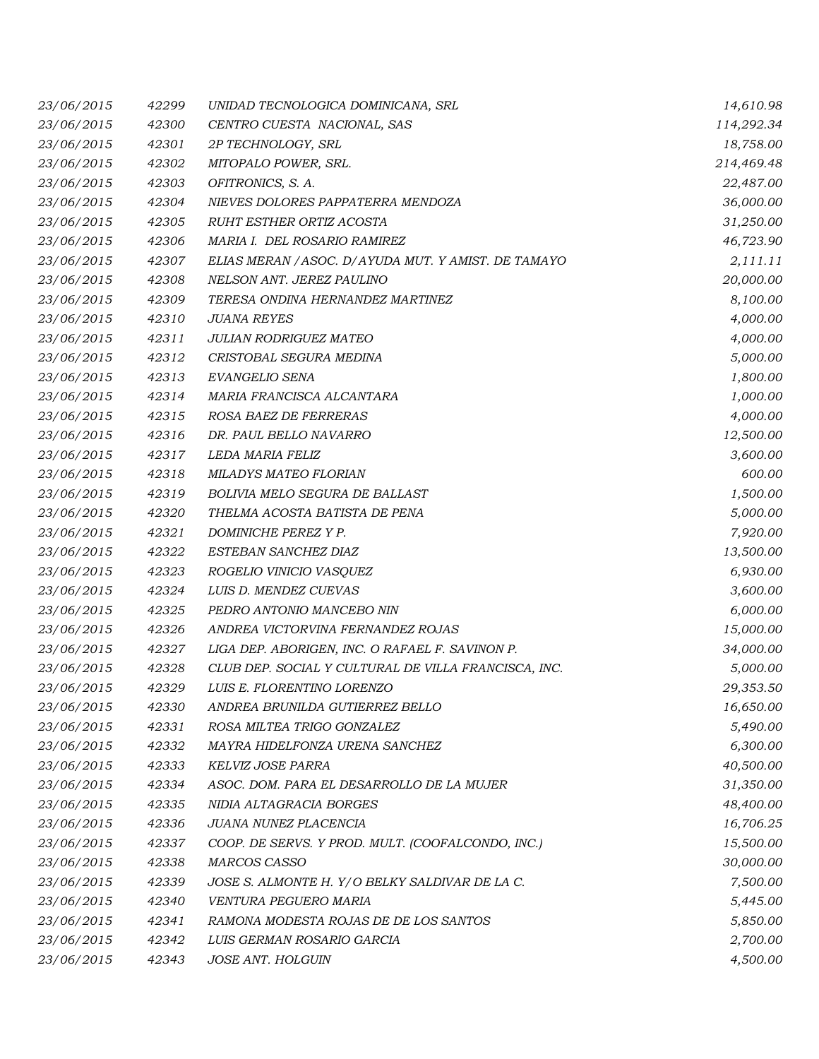| 23/06/2015 | 42299 | UNIDAD TECNOLOGICA DOMINICANA, SRL                   | 14,610.98  |
|------------|-------|------------------------------------------------------|------------|
| 23/06/2015 | 42300 | CENTRO CUESTA NACIONAL, SAS                          | 114,292.34 |
| 23/06/2015 | 42301 | 2P TECHNOLOGY, SRL                                   | 18,758.00  |
| 23/06/2015 | 42302 | MITOPALO POWER, SRL.                                 | 214,469.48 |
| 23/06/2015 | 42303 | OFITRONICS, S. A.                                    | 22,487.00  |
| 23/06/2015 | 42304 | NIEVES DOLORES PAPPATERRA MENDOZA                    | 36,000.00  |
| 23/06/2015 | 42305 | RUHT ESTHER ORTIZ ACOSTA                             | 31,250.00  |
| 23/06/2015 | 42306 | MARIA I. DEL ROSARIO RAMIREZ                         | 46,723.90  |
| 23/06/2015 | 42307 | ELIAS MERAN / ASOC. D/ AYUDA MUT. Y AMIST. DE TAMAYO | 2,111.11   |
| 23/06/2015 | 42308 | NELSON ANT. JEREZ PAULINO                            | 20,000.00  |
| 23/06/2015 | 42309 | TERESA ONDINA HERNANDEZ MARTINEZ                     | 8,100.00   |
| 23/06/2015 | 42310 | <b>JUANA REYES</b>                                   | 4,000.00   |
| 23/06/2015 | 42311 | JULIAN RODRIGUEZ MATEO                               | 4,000.00   |
| 23/06/2015 | 42312 | CRISTOBAL SEGURA MEDINA                              | 5,000.00   |
| 23/06/2015 | 42313 | EVANGELIO SENA                                       | 1,800.00   |
| 23/06/2015 | 42314 | MARIA FRANCISCA ALCANTARA                            | 1,000.00   |
| 23/06/2015 | 42315 | ROSA BAEZ DE FERRERAS                                | 4,000.00   |
| 23/06/2015 | 42316 | DR. PAUL BELLO NAVARRO                               | 12,500.00  |
| 23/06/2015 | 42317 | LEDA MARIA FELIZ                                     | 3,600.00   |
| 23/06/2015 | 42318 | MILADYS MATEO FLORIAN                                | 600.00     |
| 23/06/2015 | 42319 | BOLIVIA MELO SEGURA DE BALLAST                       | 1,500.00   |
| 23/06/2015 | 42320 | THELMA ACOSTA BATISTA DE PENA                        | 5,000.00   |
| 23/06/2015 | 42321 | DOMINICHE PEREZ Y P.                                 | 7,920.00   |
| 23/06/2015 | 42322 | ESTEBAN SANCHEZ DIAZ                                 | 13,500.00  |
| 23/06/2015 | 42323 | ROGELIO VINICIO VASQUEZ                              | 6,930.00   |
| 23/06/2015 | 42324 | LUIS D. MENDEZ CUEVAS                                | 3,600.00   |
| 23/06/2015 | 42325 | PEDRO ANTONIO MANCEBO NIN                            | 6,000.00   |
| 23/06/2015 | 42326 | ANDREA VICTORVINA FERNANDEZ ROJAS                    | 15,000.00  |
| 23/06/2015 | 42327 | LIGA DEP. ABORIGEN, INC. O RAFAEL F. SAVINON P.      | 34,000.00  |
| 23/06/2015 | 42328 | CLUB DEP. SOCIAL Y CULTURAL DE VILLA FRANCISCA, INC. | 5,000.00   |
| 23/06/2015 | 42329 | LUIS E. FLORENTINO LORENZO                           | 29,353.50  |
| 23/06/2015 | 42330 | ANDREA BRUNILDA GUTIERREZ BELLO                      | 16,650.00  |
| 23/06/2015 | 42331 | ROSA MILTEA TRIGO GONZALEZ                           | 5,490.00   |
| 23/06/2015 | 42332 | MAYRA HIDELFONZA URENA SANCHEZ                       | 6,300.00   |
| 23/06/2015 | 42333 | KELVIZ JOSE PARRA                                    | 40,500.00  |
| 23/06/2015 | 42334 | ASOC. DOM. PARA EL DESARROLLO DE LA MUJER            | 31,350.00  |
| 23/06/2015 | 42335 | NIDIA ALTAGRACIA BORGES                              | 48,400.00  |
| 23/06/2015 | 42336 | JUANA NUNEZ PLACENCIA                                | 16,706.25  |
| 23/06/2015 | 42337 | COOP. DE SERVS. Y PROD. MULT. (COOFALCONDO, INC.)    | 15,500.00  |
| 23/06/2015 | 42338 | <b>MARCOS CASSO</b>                                  | 30,000.00  |
| 23/06/2015 | 42339 | JOSE S. ALMONTE H. Y/O BELKY SALDIVAR DE LA C.       | 7,500.00   |
| 23/06/2015 | 42340 | VENTURA PEGUERO MARIA                                | 5,445.00   |
| 23/06/2015 | 42341 | RAMONA MODESTA ROJAS DE DE LOS SANTOS                | 5,850.00   |
| 23/06/2015 | 42342 | LUIS GERMAN ROSARIO GARCIA                           | 2,700.00   |
| 23/06/2015 | 42343 | JOSE ANT. HOLGUIN                                    | 4,500.00   |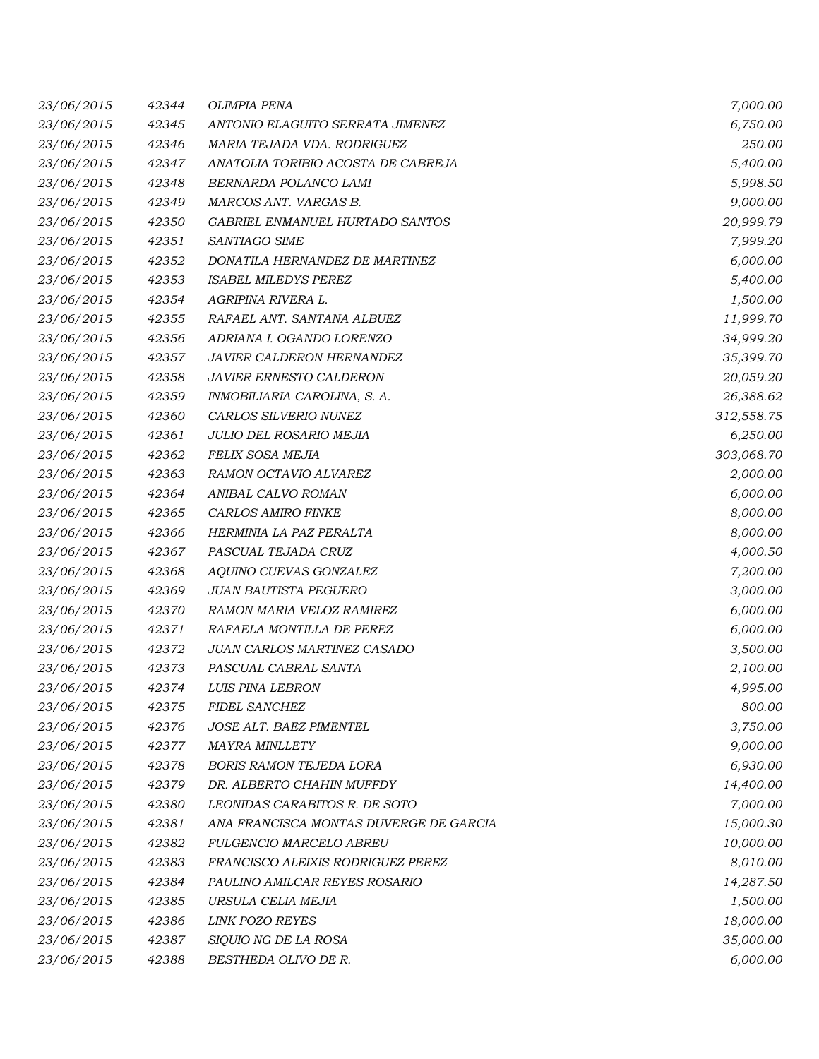| 23/06/2015 | 42344 | <b>OLIMPIA PENA</b>                    | 7,000.00   |
|------------|-------|----------------------------------------|------------|
| 23/06/2015 | 42345 | ANTONIO ELAGUITO SERRATA JIMENEZ       | 6,750.00   |
| 23/06/2015 | 42346 | MARIA TEJADA VDA. RODRIGUEZ            | 250.00     |
| 23/06/2015 | 42347 | ANATOLIA TORIBIO ACOSTA DE CABREJA     | 5,400.00   |
| 23/06/2015 | 42348 | BERNARDA POLANCO LAMI                  | 5,998.50   |
| 23/06/2015 | 42349 | MARCOS ANT. VARGAS B.                  | 9,000.00   |
| 23/06/2015 | 42350 | GABRIEL ENMANUEL HURTADO SANTOS        | 20,999.79  |
| 23/06/2015 | 42351 | SANTIAGO SIME                          | 7,999.20   |
| 23/06/2015 | 42352 | DONATILA HERNANDEZ DE MARTINEZ         | 6,000.00   |
| 23/06/2015 | 42353 | <b>ISABEL MILEDYS PEREZ</b>            | 5,400.00   |
| 23/06/2015 | 42354 | AGRIPINA RIVERA L.                     | 1,500.00   |
| 23/06/2015 | 42355 | RAFAEL ANT. SANTANA ALBUEZ             | 11,999.70  |
| 23/06/2015 | 42356 | ADRIANA I. OGANDO LORENZO              | 34,999.20  |
| 23/06/2015 | 42357 | JAVIER CALDERON HERNANDEZ              | 35,399.70  |
| 23/06/2015 | 42358 | JAVIER ERNESTO CALDERON                | 20,059.20  |
| 23/06/2015 | 42359 | INMOBILIARIA CAROLINA, S. A.           | 26,388.62  |
| 23/06/2015 | 42360 | CARLOS SILVERIO NUNEZ                  | 312,558.75 |
| 23/06/2015 | 42361 | JULIO DEL ROSARIO MEJIA                | 6,250.00   |
| 23/06/2015 | 42362 | FELIX SOSA MEJIA                       | 303,068.70 |
| 23/06/2015 | 42363 | RAMON OCTAVIO ALVAREZ                  | 2,000.00   |
| 23/06/2015 | 42364 | ANIBAL CALVO ROMAN                     | 6,000.00   |
| 23/06/2015 | 42365 | CARLOS AMIRO FINKE                     | 8,000.00   |
| 23/06/2015 | 42366 | HERMINIA LA PAZ PERALTA                | 8,000.00   |
| 23/06/2015 | 42367 | PASCUAL TEJADA CRUZ                    | 4,000.50   |
| 23/06/2015 | 42368 | AQUINO CUEVAS GONZALEZ                 | 7,200.00   |
| 23/06/2015 | 42369 | <b>JUAN BAUTISTA PEGUERO</b>           | 3,000.00   |
| 23/06/2015 | 42370 | RAMON MARIA VELOZ RAMIREZ              | 6,000.00   |
| 23/06/2015 | 42371 | RAFAELA MONTILLA DE PEREZ              | 6,000.00   |
| 23/06/2015 | 42372 | JUAN CARLOS MARTINEZ CASADO            | 3,500.00   |
| 23/06/2015 | 42373 | PASCUAL CABRAL SANTA                   | 2,100.00   |
| 23/06/2015 | 42374 | LUIS PINA LEBRON                       | 4,995.00   |
| 23/06/2015 | 42375 | <b>FIDEL SANCHEZ</b>                   | 800.00     |
| 23/06/2015 | 42376 | JOSE ALT. BAEZ PIMENTEL                | 3,750.00   |
| 23/06/2015 | 42377 | <b>MAYRA MINLLETY</b>                  | 9,000.00   |
| 23/06/2015 | 42378 | <b>BORIS RAMON TEJEDA LORA</b>         | 6,930.00   |
| 23/06/2015 | 42379 | DR. ALBERTO CHAHIN MUFFDY              | 14,400.00  |
| 23/06/2015 | 42380 | LEONIDAS CARABITOS R. DE SOTO          | 7,000.00   |
| 23/06/2015 | 42381 | ANA FRANCISCA MONTAS DUVERGE DE GARCIA | 15,000.30  |
| 23/06/2015 | 42382 | <b>FULGENCIO MARCELO ABREU</b>         | 10,000.00  |
| 23/06/2015 | 42383 | FRANCISCO ALEIXIS RODRIGUEZ PEREZ      | 8,010.00   |
| 23/06/2015 | 42384 | PAULINO AMILCAR REYES ROSARIO          | 14,287.50  |
| 23/06/2015 | 42385 | URSULA CELIA MEJIA                     | 1,500.00   |
| 23/06/2015 | 42386 | <b>LINK POZO REYES</b>                 | 18,000.00  |
| 23/06/2015 | 42387 | SIQUIO NG DE LA ROSA                   | 35,000.00  |
| 23/06/2015 | 42388 | BESTHEDA OLIVO DE R.                   | 6,000.00   |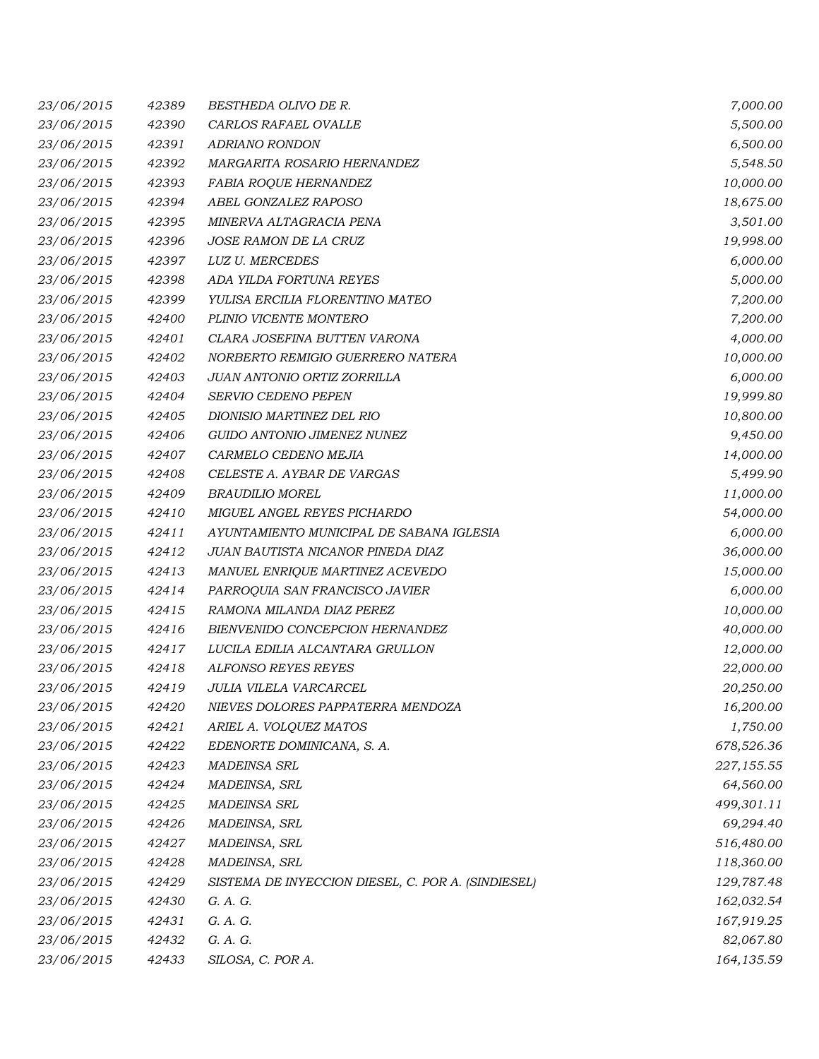| 23/06/2015 | 42389 | BESTHEDA OLIVO DE R.                               | 7,000.00   |
|------------|-------|----------------------------------------------------|------------|
| 23/06/2015 | 42390 | CARLOS RAFAEL OVALLE                               | 5,500.00   |
| 23/06/2015 | 42391 | ADRIANO RONDON                                     | 6,500.00   |
| 23/06/2015 | 42392 | MARGARITA ROSARIO HERNANDEZ                        | 5,548.50   |
| 23/06/2015 | 42393 | <b>FABIA ROQUE HERNANDEZ</b>                       | 10,000.00  |
| 23/06/2015 | 42394 | ABEL GONZALEZ RAPOSO                               | 18,675.00  |
| 23/06/2015 | 42395 | MINERVA ALTAGRACIA PENA                            | 3,501.00   |
| 23/06/2015 | 42396 | <i>JOSE RAMON DE LA CRUZ</i>                       | 19,998.00  |
| 23/06/2015 | 42397 | <b>LUZ U. MERCEDES</b>                             | 6,000.00   |
| 23/06/2015 | 42398 | ADA YILDA FORTUNA REYES                            | 5,000.00   |
| 23/06/2015 | 42399 | YULISA ERCILIA FLORENTINO MATEO                    | 7,200.00   |
| 23/06/2015 | 42400 | PLINIO VICENTE MONTERO                             | 7,200.00   |
| 23/06/2015 | 42401 | CLARA JOSEFINA BUTTEN VARONA                       | 4,000.00   |
| 23/06/2015 | 42402 | NORBERTO REMIGIO GUERRERO NATERA                   | 10,000.00  |
| 23/06/2015 | 42403 | JUAN ANTONIO ORTIZ ZORRILLA                        | 6,000.00   |
| 23/06/2015 | 42404 | SERVIO CEDENO PEPEN                                | 19,999.80  |
| 23/06/2015 | 42405 | DIONISIO MARTINEZ DEL RIO                          | 10,800.00  |
| 23/06/2015 | 42406 | GUIDO ANTONIO JIMENEZ NUNEZ                        | 9,450.00   |
| 23/06/2015 | 42407 | CARMELO CEDENO MEJIA                               | 14,000.00  |
| 23/06/2015 | 42408 | CELESTE A. AYBAR DE VARGAS                         | 5,499.90   |
| 23/06/2015 | 42409 | <b>BRAUDILIO MOREL</b>                             | 11,000.00  |
| 23/06/2015 | 42410 | MIGUEL ANGEL REYES PICHARDO                        | 54,000.00  |
| 23/06/2015 | 42411 | AYUNTAMIENTO MUNICIPAL DE SABANA IGLESIA           | 6,000.00   |
| 23/06/2015 | 42412 | JUAN BAUTISTA NICANOR PINEDA DIAZ                  | 36,000.00  |
| 23/06/2015 | 42413 | MANUEL ENRIQUE MARTINEZ ACEVEDO                    | 15,000.00  |
| 23/06/2015 | 42414 | PARROQUIA SAN FRANCISCO JAVIER                     | 6,000.00   |
| 23/06/2015 | 42415 | RAMONA MILANDA DIAZ PEREZ                          | 10,000.00  |
| 23/06/2015 | 42416 | BIENVENIDO CONCEPCION HERNANDEZ                    | 40,000.00  |
| 23/06/2015 | 42417 | LUCILA EDILIA ALCANTARA GRULLON                    | 12,000.00  |
| 23/06/2015 | 42418 | <b>ALFONSO REYES REYES</b>                         | 22,000.00  |
| 23/06/2015 | 42419 | JULIA VILELA VARCARCEL                             | 20,250.00  |
| 23/06/2015 | 42420 | NIEVES DOLORES PAPPATERRA MENDOZA                  | 16,200.00  |
| 23/06/2015 | 42421 | ARIEL A. VOLQUEZ MATOS                             | 1,750.00   |
| 23/06/2015 | 42422 | EDENORTE DOMINICANA, S. A.                         | 678,526.36 |
| 23/06/2015 | 42423 | <b>MADEINSA SRL</b>                                | 227,155.55 |
| 23/06/2015 | 42424 | MADEINSA, SRL                                      | 64,560.00  |
| 23/06/2015 | 42425 | <b>MADEINSA SRL</b>                                | 499,301.11 |
| 23/06/2015 | 42426 | MADEINSA, SRL                                      | 69,294.40  |
| 23/06/2015 | 42427 | MADEINSA, SRL                                      | 516,480.00 |
| 23/06/2015 | 42428 | MADEINSA, SRL                                      | 118,360.00 |
| 23/06/2015 | 42429 | SISTEMA DE INYECCION DIESEL, C. POR A. (SINDIESEL) | 129,787.48 |
| 23/06/2015 | 42430 | G. A. G.                                           | 162,032.54 |
| 23/06/2015 | 42431 | G. A. G.                                           | 167,919.25 |
| 23/06/2015 | 42432 | G. A. G.                                           | 82,067.80  |
| 23/06/2015 | 42433 | SILOSA, C. POR A.                                  | 164,135.59 |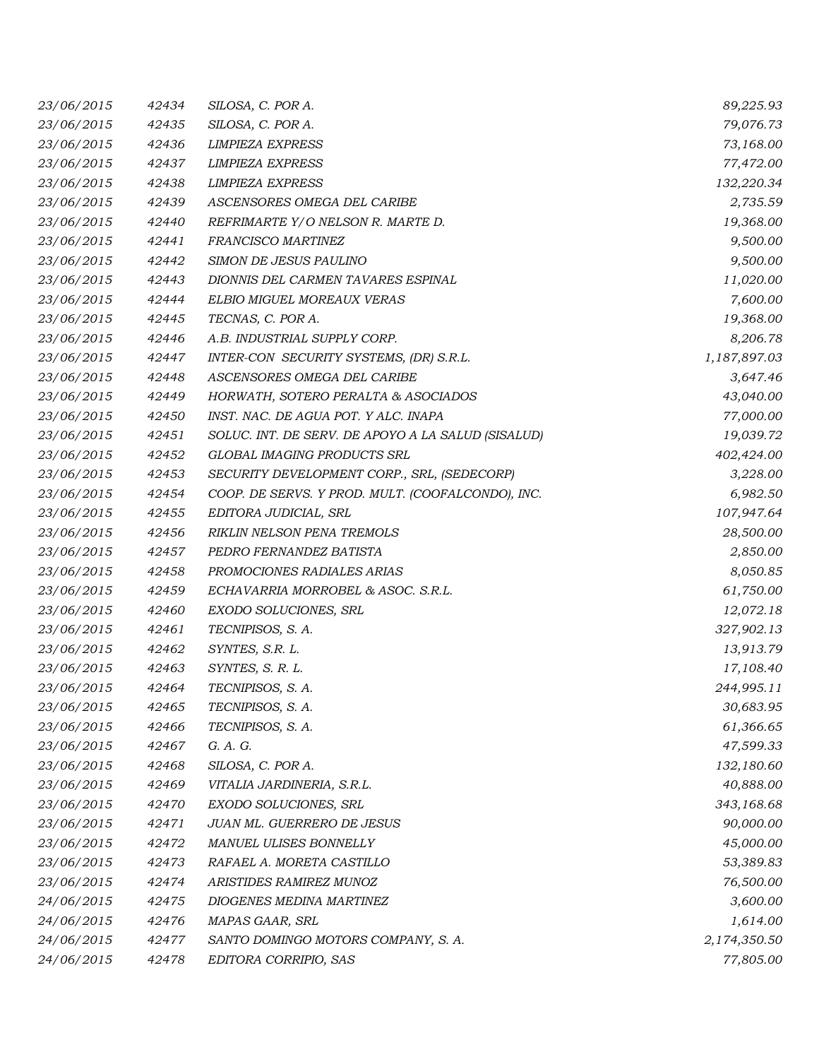| 23/06/2015 | 42434 | SILOSA, C. POR A.                                  | 89,225.93    |
|------------|-------|----------------------------------------------------|--------------|
| 23/06/2015 | 42435 | SILOSA, C. POR A.                                  | 79,076.73    |
| 23/06/2015 | 42436 | <b>LIMPIEZA EXPRESS</b>                            | 73,168.00    |
| 23/06/2015 | 42437 | <b>LIMPIEZA EXPRESS</b>                            | 77,472.00    |
| 23/06/2015 | 42438 | <b>LIMPIEZA EXPRESS</b>                            | 132,220.34   |
| 23/06/2015 | 42439 | ASCENSORES OMEGA DEL CARIBE                        | 2,735.59     |
| 23/06/2015 | 42440 | REFRIMARTE Y/O NELSON R. MARTE D.                  | 19,368.00    |
| 23/06/2015 | 42441 | <i>FRANCISCO MARTINEZ</i>                          | 9,500.00     |
| 23/06/2015 | 42442 | SIMON DE JESUS PAULINO                             | 9,500.00     |
| 23/06/2015 | 42443 | DIONNIS DEL CARMEN TAVARES ESPINAL                 | 11,020.00    |
| 23/06/2015 | 42444 | ELBIO MIGUEL MOREAUX VERAS                         | 7,600.00     |
| 23/06/2015 | 42445 | TECNAS, C. POR A.                                  | 19,368.00    |
| 23/06/2015 | 42446 | A.B. INDUSTRIAL SUPPLY CORP.                       | 8,206.78     |
| 23/06/2015 | 42447 | INTER-CON SECURITY SYSTEMS, (DR) S.R.L.            | 1,187,897.03 |
| 23/06/2015 | 42448 | ASCENSORES OMEGA DEL CARIBE                        | 3,647.46     |
| 23/06/2015 | 42449 | HORWATH, SOTERO PERALTA & ASOCIADOS                | 43,040.00    |
| 23/06/2015 | 42450 | INST. NAC. DE AGUA POT. Y ALC. INAPA               | 77,000.00    |
| 23/06/2015 | 42451 | SOLUC. INT. DE SERV. DE APOYO A LA SALUD (SISALUD) | 19,039.72    |
| 23/06/2015 | 42452 | GLOBAL IMAGING PRODUCTS SRL                        | 402,424.00   |
| 23/06/2015 | 42453 | SECURITY DEVELOPMENT CORP., SRL, (SEDECORP)        | 3,228.00     |
| 23/06/2015 | 42454 | COOP. DE SERVS. Y PROD. MULT. (COOFALCONDO), INC.  | 6,982.50     |
| 23/06/2015 | 42455 | EDITORA JUDICIAL, SRL                              | 107,947.64   |
| 23/06/2015 | 42456 | RIKLIN NELSON PENA TREMOLS                         | 28,500.00    |
| 23/06/2015 | 42457 | PEDRO FERNANDEZ BATISTA                            | 2,850.00     |
| 23/06/2015 | 42458 | PROMOCIONES RADIALES ARIAS                         | 8,050.85     |
| 23/06/2015 | 42459 | ECHAVARRIA MORROBEL & ASOC. S.R.L.                 | 61,750.00    |
| 23/06/2015 | 42460 | EXODO SOLUCIONES, SRL                              | 12,072.18    |
| 23/06/2015 | 42461 | TECNIPISOS, S. A.                                  | 327,902.13   |
| 23/06/2015 | 42462 | SYNTES, S.R. L.                                    | 13,913.79    |
| 23/06/2015 | 42463 | SYNTES, S. R. L.                                   | 17,108.40    |
| 23/06/2015 | 42464 | TECNIPISOS, S. A.                                  | 244,995.11   |
| 23/06/2015 | 42465 | TECNIPISOS, S. A.                                  | 30,683.95    |
| 23/06/2015 | 42466 | TECNIPISOS, S. A.                                  | 61,366.65    |
| 23/06/2015 | 42467 | G. A. G.                                           | 47,599.33    |
| 23/06/2015 | 42468 | SILOSA, C. POR A.                                  | 132,180.60   |
| 23/06/2015 | 42469 | VITALIA JARDINERIA, S.R.L.                         | 40,888.00    |
| 23/06/2015 | 42470 | EXODO SOLUCIONES, SRL                              | 343,168.68   |
| 23/06/2015 | 42471 | JUAN ML. GUERRERO DE JESUS                         | 90,000.00    |
| 23/06/2015 | 42472 | MANUEL ULISES BONNELLY                             | 45,000.00    |
| 23/06/2015 | 42473 | RAFAEL A. MORETA CASTILLO                          | 53,389.83    |
| 23/06/2015 | 42474 | ARISTIDES RAMIREZ MUNOZ                            | 76,500.00    |
| 24/06/2015 | 42475 | DIOGENES MEDINA MARTINEZ                           | 3,600.00     |
| 24/06/2015 | 42476 | MAPAS GAAR, SRL                                    | 1,614.00     |
| 24/06/2015 | 42477 | SANTO DOMINGO MOTORS COMPANY, S. A.                | 2,174,350.50 |
| 24/06/2015 | 42478 | EDITORA CORRIPIO, SAS                              | 77,805.00    |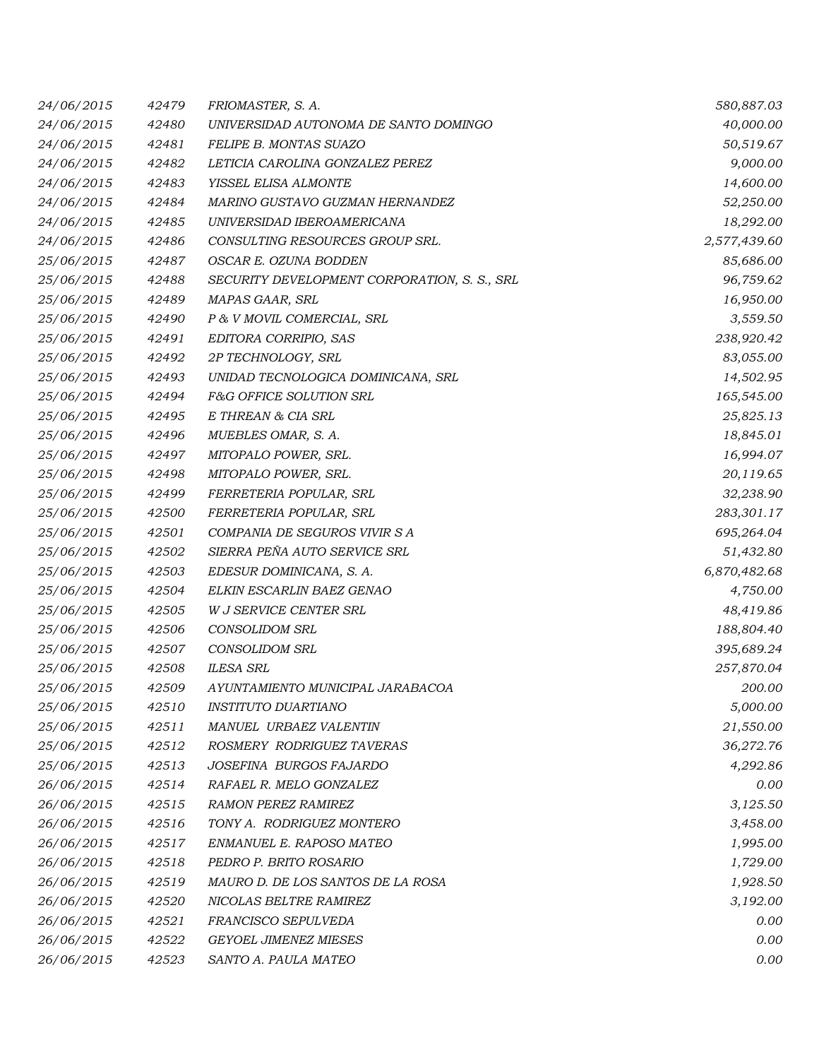| 24/06/2015 | 42479 | FRIOMASTER, S. A.                            | 580,887.03   |
|------------|-------|----------------------------------------------|--------------|
| 24/06/2015 | 42480 | UNIVERSIDAD AUTONOMA DE SANTO DOMINGO        | 40,000.00    |
| 24/06/2015 | 42481 | FELIPE B. MONTAS SUAZO                       | 50,519.67    |
| 24/06/2015 | 42482 | LETICIA CAROLINA GONZALEZ PEREZ              | 9,000.00     |
| 24/06/2015 | 42483 | YISSEL ELISA ALMONTE                         | 14,600.00    |
| 24/06/2015 | 42484 | MARINO GUSTAVO GUZMAN HERNANDEZ              | 52,250.00    |
| 24/06/2015 | 42485 | UNIVERSIDAD IBEROAMERICANA                   | 18,292.00    |
| 24/06/2015 | 42486 | CONSULTING RESOURCES GROUP SRL.              | 2,577,439.60 |
| 25/06/2015 | 42487 | OSCAR E. OZUNA BODDEN                        | 85,686.00    |
| 25/06/2015 | 42488 | SECURITY DEVELOPMENT CORPORATION, S. S., SRL | 96,759.62    |
| 25/06/2015 | 42489 | MAPAS GAAR, SRL                              | 16,950.00    |
| 25/06/2015 | 42490 | P & V MOVIL COMERCIAL, SRL                   | 3,559.50     |
| 25/06/2015 | 42491 | EDITORA CORRIPIO, SAS                        | 238,920.42   |
| 25/06/2015 | 42492 | 2P TECHNOLOGY, SRL                           | 83,055.00    |
| 25/06/2015 | 42493 | UNIDAD TECNOLOGICA DOMINICANA, SRL           | 14,502.95    |
| 25/06/2015 | 42494 | F&G OFFICE SOLUTION SRL                      | 165,545.00   |
| 25/06/2015 | 42495 | E THREAN & CIA SRL                           | 25,825.13    |
| 25/06/2015 | 42496 | MUEBLES OMAR, S. A.                          | 18,845.01    |
| 25/06/2015 | 42497 | MITOPALO POWER, SRL.                         | 16,994.07    |
| 25/06/2015 | 42498 | MITOPALO POWER, SRL.                         | 20,119.65    |
| 25/06/2015 | 42499 | FERRETERIA POPULAR, SRL                      | 32,238.90    |
| 25/06/2015 | 42500 | FERRETERIA POPULAR, SRL                      | 283,301.17   |
| 25/06/2015 | 42501 | COMPANIA DE SEGUROS VIVIR S A                | 695,264.04   |
| 25/06/2015 | 42502 | SIERRA PEÑA AUTO SERVICE SRL                 | 51,432.80    |
| 25/06/2015 | 42503 | EDESUR DOMINICANA, S. A.                     | 6,870,482.68 |
| 25/06/2015 | 42504 | ELKIN ESCARLIN BAEZ GENAO                    | 4,750.00     |
| 25/06/2015 | 42505 | W J SERVICE CENTER SRL                       | 48,419.86    |
| 25/06/2015 | 42506 | <b>CONSOLIDOM SRL</b>                        | 188,804.40   |
| 25/06/2015 | 42507 | <b>CONSOLIDOM SRL</b>                        | 395,689.24   |
| 25/06/2015 | 42508 | <b>ILESA SRL</b>                             | 257,870.04   |
| 25/06/2015 | 42509 | AYUNTAMIENTO MUNICIPAL JARABACOA             | 200.00       |
| 25/06/2015 | 42510 | <i>INSTITUTO DUARTIANO</i>                   | 5,000.00     |
| 25/06/2015 | 42511 | MANUEL URBAEZ VALENTIN                       | 21,550.00    |
| 25/06/2015 | 42512 | ROSMERY RODRIGUEZ TAVERAS                    | 36,272.76    |
| 25/06/2015 | 42513 | JOSEFINA BURGOS FAJARDO                      | 4,292.86     |
| 26/06/2015 | 42514 | RAFAEL R. MELO GONZALEZ                      | 0.00         |
| 26/06/2015 | 42515 | <b>RAMON PEREZ RAMIREZ</b>                   | 3,125.50     |
| 26/06/2015 | 42516 | TONY A. RODRIGUEZ MONTERO                    | 3,458.00     |
| 26/06/2015 | 42517 | ENMANUEL E. RAPOSO MATEO                     | 1,995.00     |
| 26/06/2015 | 42518 | PEDRO P. BRITO ROSARIO                       | 1,729.00     |
| 26/06/2015 | 42519 | MAURO D. DE LOS SANTOS DE LA ROSA            | 1,928.50     |
| 26/06/2015 | 42520 | <i>NICOLAS BELTRE RAMIREZ</i>                | 3,192.00     |
| 26/06/2015 | 42521 | FRANCISCO SEPULVEDA                          | 0.00         |
| 26/06/2015 | 42522 | <b>GEYOEL JIMENEZ MIESES</b>                 | 0.00         |
| 26/06/2015 | 42523 | SANTO A. PAULA MATEO                         | 0.00         |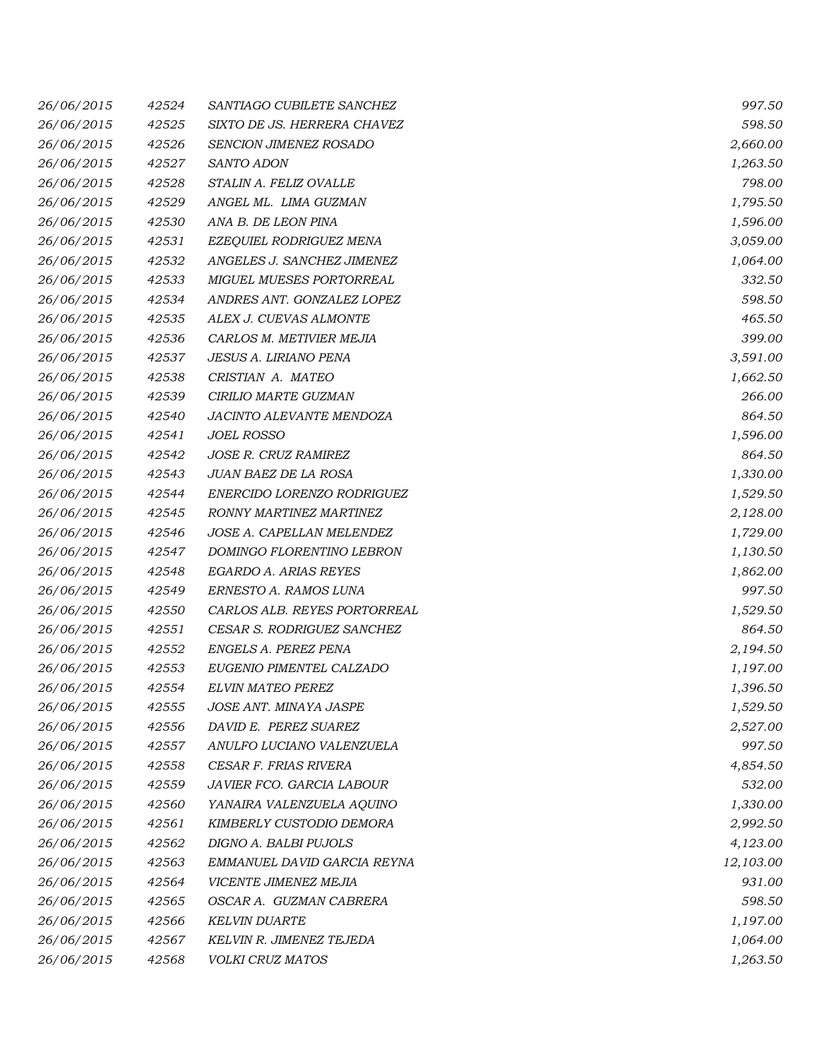| 26/06/2015 | 42524 | SANTIAGO CUBILETE SANCHEZ       | 997.50    |
|------------|-------|---------------------------------|-----------|
| 26/06/2015 | 42525 | SIXTO DE JS. HERRERA CHAVEZ     | 598.50    |
| 26/06/2015 | 42526 | SENCION JIMENEZ ROSADO          | 2,660.00  |
| 26/06/2015 | 42527 | <b>SANTO ADON</b>               | 1,263.50  |
| 26/06/2015 | 42528 | STALIN A. FELIZ OVALLE          | 798.00    |
| 26/06/2015 | 42529 | ANGEL ML. LIMA GUZMAN           | 1,795.50  |
| 26/06/2015 | 42530 | ANA B. DE LEON PINA             | 1,596.00  |
| 26/06/2015 | 42531 | EZEQUIEL RODRIGUEZ MENA         | 3,059.00  |
| 26/06/2015 | 42532 | ANGELES J. SANCHEZ JIMENEZ      | 1,064.00  |
| 26/06/2015 | 42533 | <b>MIGUEL MUESES PORTORREAL</b> | 332.50    |
| 26/06/2015 | 42534 | ANDRES ANT. GONZALEZ LOPEZ      | 598.50    |
| 26/06/2015 | 42535 | ALEX J. CUEVAS ALMONTE          | 465.50    |
| 26/06/2015 | 42536 | CARLOS M. METIVIER MEJIA        | 399.00    |
| 26/06/2015 | 42537 | <b>JESUS A. LIRIANO PENA</b>    | 3,591.00  |
| 26/06/2015 | 42538 | CRISTIAN A. MATEO               | 1,662.50  |
| 26/06/2015 | 42539 | CIRILIO MARTE GUZMAN            | 266.00    |
| 26/06/2015 | 42540 | JACINTO ALEVANTE MENDOZA        | 864.50    |
| 26/06/2015 | 42541 | <b>JOEL ROSSO</b>               | 1,596.00  |
| 26/06/2015 | 42542 | JOSE R. CRUZ RAMIREZ            | 864.50    |
| 26/06/2015 | 42543 | JUAN BAEZ DE LA ROSA            | 1,330.00  |
| 26/06/2015 | 42544 | ENERCIDO LORENZO RODRIGUEZ      | 1,529.50  |
| 26/06/2015 | 42545 | RONNY MARTINEZ MARTINEZ         | 2,128.00  |
| 26/06/2015 | 42546 | JOSE A. CAPELLAN MELENDEZ       | 1,729.00  |
| 26/06/2015 | 42547 | DOMINGO FLORENTINO LEBRON       | 1,130.50  |
| 26/06/2015 | 42548 | <b>EGARDO A. ARIAS REYES</b>    | 1,862.00  |
| 26/06/2015 | 42549 | ERNESTO A. RAMOS LUNA           | 997.50    |
| 26/06/2015 | 42550 | CARLOS ALB. REYES PORTORREAL    | 1,529.50  |
| 26/06/2015 | 42551 | CESAR S. RODRIGUEZ SANCHEZ      | 864.50    |
| 26/06/2015 | 42552 | ENGELS A. PEREZ PENA            | 2,194.50  |
| 26/06/2015 | 42553 | EUGENIO PIMENTEL CALZADO        | 1,197.00  |
| 26/06/2015 | 42554 | ELVIN MATEO PEREZ               | 1,396.50  |
| 26/06/2015 | 42555 | JOSE ANT. MINAYA JASPE          | 1,529.50  |
| 26/06/2015 | 42556 | DAVID E. PEREZ SUAREZ           | 2,527.00  |
| 26/06/2015 | 42557 | ANULFO LUCIANO VALENZUELA       | 997.50    |
| 26/06/2015 | 42558 | CESAR F. FRIAS RIVERA           | 4,854.50  |
| 26/06/2015 | 42559 | JAVIER FCO. GARCIA LABOUR       | 532.00    |
| 26/06/2015 | 42560 | YANAIRA VALENZUELA AQUINO       | 1,330.00  |
| 26/06/2015 | 42561 | KIMBERLY CUSTODIO DEMORA        | 2,992.50  |
| 26/06/2015 | 42562 | DIGNO A. BALBI PUJOLS           | 4,123.00  |
| 26/06/2015 | 42563 | EMMANUEL DAVID GARCIA REYNA     | 12,103.00 |
| 26/06/2015 | 42564 | VICENTE JIMENEZ MEJIA           | 931.00    |
| 26/06/2015 | 42565 | OSCAR A. GUZMAN CABRERA         | 598.50    |
| 26/06/2015 | 42566 | <b>KELVIN DUARTE</b>            | 1,197.00  |
| 26/06/2015 | 42567 | KELVIN R. JIMENEZ TEJEDA        | 1,064.00  |
| 26/06/2015 | 42568 | VOLKI CRUZ MATOS                | 1,263.50  |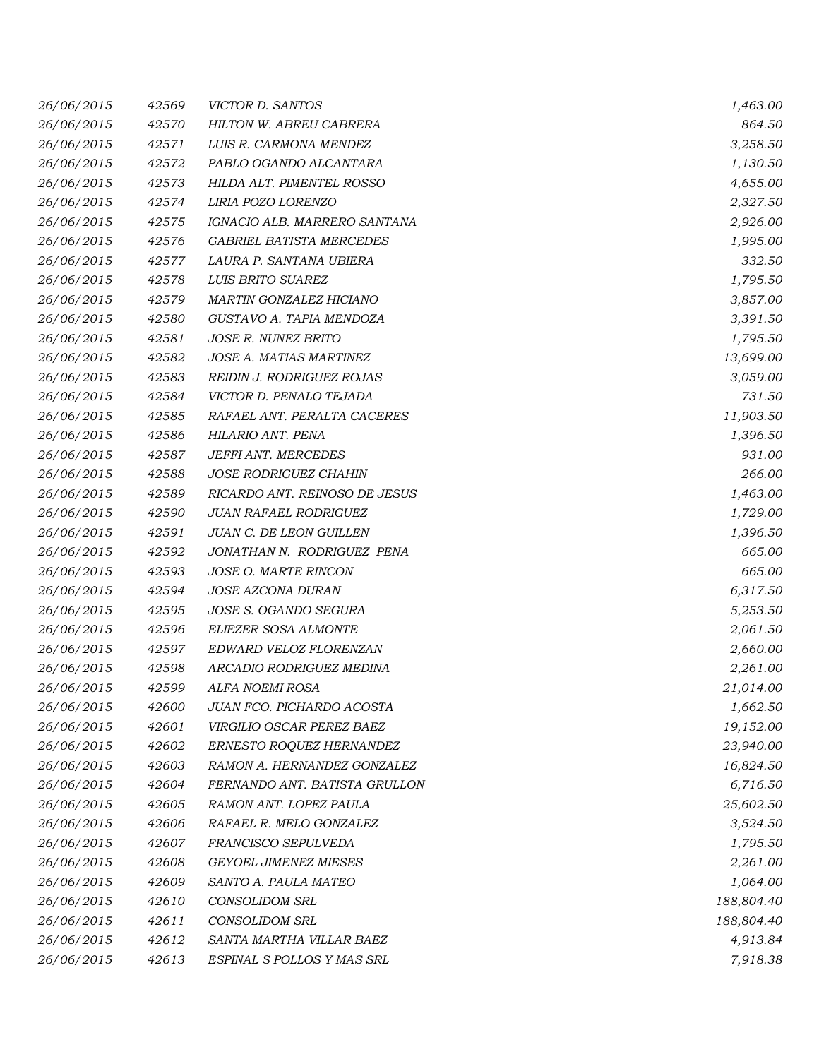| 26/06/2015 | 42569 | VICTOR D. SANTOS                 | 1,463.00   |
|------------|-------|----------------------------------|------------|
| 26/06/2015 | 42570 | HILTON W. ABREU CABRERA          | 864.50     |
| 26/06/2015 | 42571 | LUIS R. CARMONA MENDEZ           | 3,258.50   |
| 26/06/2015 | 42572 | PABLO OGANDO ALCANTARA           | 1,130.50   |
| 26/06/2015 | 42573 | HILDA ALT. PIMENTEL ROSSO        | 4,655.00   |
| 26/06/2015 | 42574 | LIRIA POZO LORENZO               | 2,327.50   |
| 26/06/2015 | 42575 | IGNACIO ALB. MARRERO SANTANA     | 2,926.00   |
| 26/06/2015 | 42576 | <b>GABRIEL BATISTA MERCEDES</b>  | 1,995.00   |
| 26/06/2015 | 42577 | LAURA P. SANTANA UBIERA          | 332.50     |
| 26/06/2015 | 42578 | LUIS BRITO SUAREZ                | 1,795.50   |
| 26/06/2015 | 42579 | MARTIN GONZALEZ HICIANO          | 3,857.00   |
| 26/06/2015 | 42580 | GUSTAVO A. TAPIA MENDOZA         | 3,391.50   |
| 26/06/2015 | 42581 | JOSE R. NUNEZ BRITO              | 1,795.50   |
| 26/06/2015 | 42582 | JOSE A. MATIAS MARTINEZ          | 13,699.00  |
| 26/06/2015 | 42583 | <b>REIDIN J. RODRIGUEZ ROJAS</b> | 3,059.00   |
| 26/06/2015 | 42584 | VICTOR D. PENALO TEJADA          | 731.50     |
| 26/06/2015 | 42585 | RAFAEL ANT. PERALTA CACERES      | 11,903.50  |
| 26/06/2015 | 42586 | HILARIO ANT. PENA                | 1,396.50   |
| 26/06/2015 | 42587 | JEFFI ANT. MERCEDES              | 931.00     |
| 26/06/2015 | 42588 | <i>JOSE RODRIGUEZ CHAHIN</i>     | 266.00     |
| 26/06/2015 | 42589 | RICARDO ANT. REINOSO DE JESUS    | 1,463.00   |
| 26/06/2015 | 42590 | <b>JUAN RAFAEL RODRIGUEZ</b>     | 1,729.00   |
| 26/06/2015 | 42591 | <b>JUAN C. DE LEON GUILLEN</b>   | 1,396.50   |
| 26/06/2015 | 42592 | JONATHAN N. RODRIGUEZ PENA       | 665.00     |
| 26/06/2015 | 42593 | JOSE O. MARTE RINCON             | 665.00     |
| 26/06/2015 | 42594 | JOSE AZCONA DURAN                | 6,317.50   |
| 26/06/2015 | 42595 | JOSE S. OGANDO SEGURA            | 5,253.50   |
| 26/06/2015 | 42596 | ELIEZER SOSA ALMONTE             | 2,061.50   |
| 26/06/2015 | 42597 | EDWARD VELOZ FLORENZAN           | 2,660.00   |
| 26/06/2015 | 42598 | ARCADIO RODRIGUEZ MEDINA         | 2,261.00   |
| 26/06/2015 | 42599 | ALFA NOEMI ROSA                  | 21,014.00  |
| 26/06/2015 | 42600 | JUAN FCO. PICHARDO ACOSTA        | 1,662.50   |
| 26/06/2015 | 42601 | VIRGILIO OSCAR PEREZ BAEZ        | 19,152.00  |
| 26/06/2015 | 42602 | ERNESTO ROQUEZ HERNANDEZ         | 23,940.00  |
| 26/06/2015 | 42603 | RAMON A. HERNANDEZ GONZALEZ      | 16,824.50  |
| 26/06/2015 | 42604 | FERNANDO ANT. BATISTA GRULLON    | 6,716.50   |
| 26/06/2015 | 42605 | RAMON ANT. LOPEZ PAULA           | 25,602.50  |
| 26/06/2015 | 42606 | RAFAEL R. MELO GONZALEZ          | 3,524.50   |
| 26/06/2015 | 42607 | FRANCISCO SEPULVEDA              | 1,795.50   |
| 26/06/2015 | 42608 | <b>GEYOEL JIMENEZ MIESES</b>     | 2,261.00   |
| 26/06/2015 | 42609 | SANTO A. PAULA MATEO             | 1,064.00   |
| 26/06/2015 | 42610 | <b>CONSOLIDOM SRL</b>            | 188,804.40 |
| 26/06/2015 | 42611 | <b>CONSOLIDOM SRL</b>            | 188,804.40 |
| 26/06/2015 | 42612 | SANTA MARTHA VILLAR BAEZ         | 4,913.84   |
| 26/06/2015 | 42613 | ESPINAL S POLLOS Y MAS SRL       | 7,918.38   |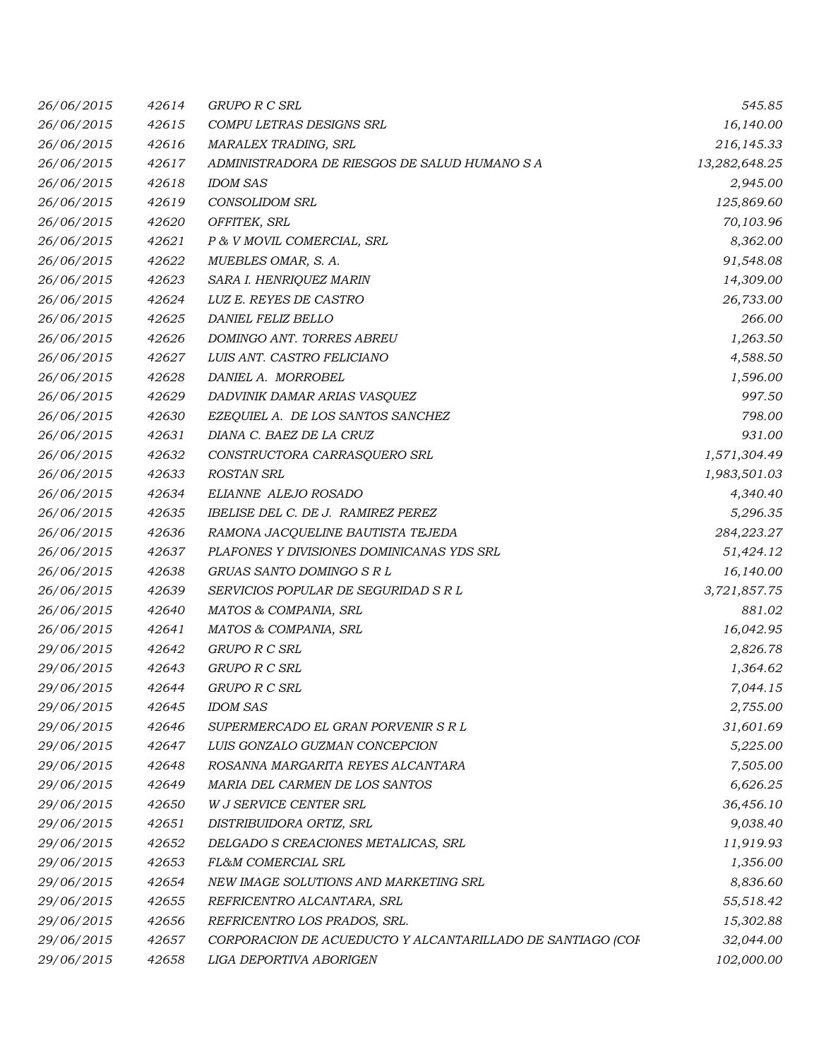| 26/06/2015 | 42614 | <b>GRUPO R C SRL</b>                                       | 545.85        |
|------------|-------|------------------------------------------------------------|---------------|
| 26/06/2015 | 42615 | COMPU LETRAS DESIGNS SRL                                   | 16,140.00     |
| 26/06/2015 | 42616 | MARALEX TRADING, SRL                                       | 216,145.33    |
| 26/06/2015 | 42617 | ADMINISTRADORA DE RIESGOS DE SALUD HUMANO S A              | 13,282,648.25 |
| 26/06/2015 | 42618 | <b>IDOM SAS</b>                                            | 2,945.00      |
| 26/06/2015 | 42619 | <b>CONSOLIDOM SRL</b>                                      | 125,869.60    |
| 26/06/2015 | 42620 | OFFITEK, SRL                                               | 70,103.96     |
| 26/06/2015 | 42621 | P & V MOVIL COMERCIAL, SRL                                 | 8,362.00      |
| 26/06/2015 | 42622 | MUEBLES OMAR, S. A.                                        | 91,548.08     |
| 26/06/2015 | 42623 | SARA I. HENRIQUEZ MARIN                                    | 14,309.00     |
| 26/06/2015 | 42624 | LUZ E. REYES DE CASTRO                                     | 26,733.00     |
| 26/06/2015 | 42625 | DANIEL FELIZ BELLO                                         | 266.00        |
| 26/06/2015 | 42626 | DOMINGO ANT. TORRES ABREU                                  | 1,263.50      |
| 26/06/2015 | 42627 | LUIS ANT. CASTRO FELICIANO                                 | 4,588.50      |
| 26/06/2015 | 42628 | DANIEL A. MORROBEL                                         | 1,596.00      |
| 26/06/2015 | 42629 | DADVINIK DAMAR ARIAS VASQUEZ                               | 997.50        |
| 26/06/2015 | 42630 | EZEQUIEL A. DE LOS SANTOS SANCHEZ                          | 798.00        |
| 26/06/2015 | 42631 | DIANA C. BAEZ DE LA CRUZ                                   | 931.00        |
| 26/06/2015 | 42632 | CONSTRUCTORA CARRASQUERO SRL                               | 1,571,304.49  |
| 26/06/2015 | 42633 | <b>ROSTAN SRL</b>                                          | 1,983,501.03  |
| 26/06/2015 | 42634 | ELIANNE ALEJO ROSADO                                       | 4,340.40      |
| 26/06/2015 | 42635 | IBELISE DEL C. DE J. RAMIREZ PEREZ                         | 5,296.35      |
| 26/06/2015 | 42636 | RAMONA JACQUELINE BAUTISTA TEJEDA                          | 284,223.27    |
| 26/06/2015 | 42637 | PLAFONES Y DIVISIONES DOMINICANAS YDS SRL                  | 51,424.12     |
| 26/06/2015 | 42638 | GRUAS SANTO DOMINGO S R L                                  | 16,140.00     |
| 26/06/2015 | 42639 | SERVICIOS POPULAR DE SEGURIDAD S R L                       | 3,721,857.75  |
| 26/06/2015 | 42640 | MATOS & COMPANIA, SRL                                      | 881.02        |
| 26/06/2015 | 42641 | MATOS & COMPANIA, SRL                                      | 16,042.95     |
| 29/06/2015 | 42642 | <b>GRUPO R C SRL</b>                                       | 2,826.78      |
| 29/06/2015 | 42643 | <b>GRUPO R C SRL</b>                                       | 1,364.62      |
| 29/06/2015 | 42644 | <b>GRUPO R C SRL</b>                                       | 7,044.15      |
| 29/06/2015 | 42645 | <b>IDOM SAS</b>                                            | 2,755.00      |
| 29/06/2015 | 42646 | SUPERMERCADO EL GRAN PORVENIR S R L                        | 31,601.69     |
| 29/06/2015 | 42647 | LUIS GONZALO GUZMAN CONCEPCION                             | 5,225.00      |
| 29/06/2015 | 42648 | ROSANNA MARGARITA REYES ALCANTARA                          | 7,505.00      |
| 29/06/2015 | 42649 | MARIA DEL CARMEN DE LOS SANTOS                             | 6,626.25      |
| 29/06/2015 | 42650 | W J SERVICE CENTER SRL                                     | 36,456.10     |
| 29/06/2015 | 42651 | DISTRIBUIDORA ORTIZ, SRL                                   | 9,038.40      |
| 29/06/2015 | 42652 | DELGADO S CREACIONES METALICAS, SRL                        | 11,919.93     |
| 29/06/2015 | 42653 | FL&M COMERCIAL SRL                                         | 1,356.00      |
| 29/06/2015 | 42654 | NEW IMAGE SOLUTIONS AND MARKETING SRL                      | 8,836.60      |
| 29/06/2015 | 42655 | REFRICENTRO ALCANTARA, SRL                                 | 55,518.42     |
| 29/06/2015 | 42656 | REFRICENTRO LOS PRADOS, SRL.                               | 15,302.88     |
| 29/06/2015 | 42657 | CORPORACION DE ACUEDUCTO Y ALCANTARILLADO DE SANTIAGO (COF | 32,044.00     |
| 29/06/2015 | 42658 | LIGA DEPORTIVA ABORIGEN                                    | 102,000.00    |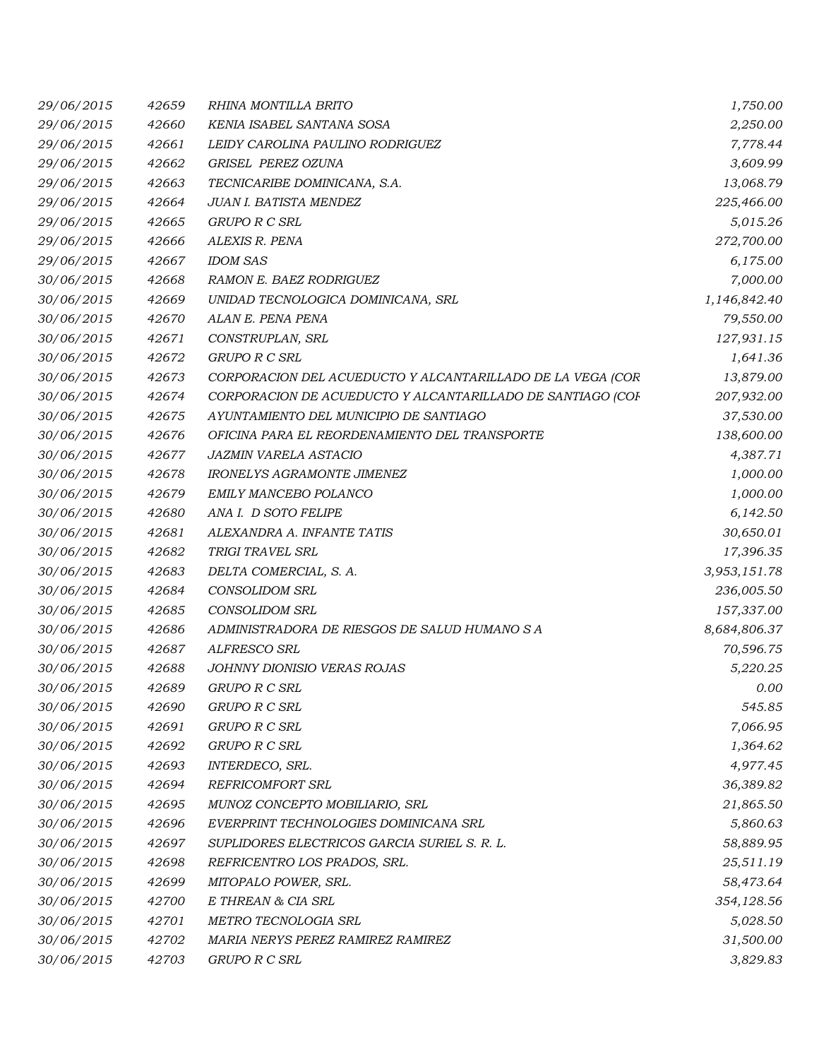| 29/06/2015 | 42659 | RHINA MONTILLA BRITO                                       | 1,750.00     |
|------------|-------|------------------------------------------------------------|--------------|
| 29/06/2015 | 42660 | KENIA ISABEL SANTANA SOSA                                  | 2,250.00     |
| 29/06/2015 | 42661 | LEIDY CAROLINA PAULINO RODRIGUEZ                           | 7,778.44     |
| 29/06/2015 | 42662 | GRISEL PEREZ OZUNA                                         | 3,609.99     |
| 29/06/2015 | 42663 | TECNICARIBE DOMINICANA, S.A.                               | 13,068.79    |
| 29/06/2015 | 42664 | JUAN I. BATISTA MENDEZ                                     | 225,466.00   |
| 29/06/2015 | 42665 | GRUPO R C SRL                                              | 5,015.26     |
| 29/06/2015 | 42666 | ALEXIS R. PENA                                             | 272,700.00   |
| 29/06/2015 | 42667 | <b>IDOM SAS</b>                                            | 6,175.00     |
| 30/06/2015 | 42668 | RAMON E. BAEZ RODRIGUEZ                                    | 7,000.00     |
| 30/06/2015 | 42669 | UNIDAD TECNOLOGICA DOMINICANA, SRL                         | 1,146,842.40 |
| 30/06/2015 | 42670 | ALAN E. PENA PENA                                          | 79,550.00    |
| 30/06/2015 | 42671 | CONSTRUPLAN, SRL                                           | 127,931.15   |
| 30/06/2015 | 42672 | GRUPO R C SRL                                              | 1,641.36     |
| 30/06/2015 | 42673 | CORPORACION DEL ACUEDUCTO Y ALCANTARILLADO DE LA VEGA (COR | 13,879.00    |
| 30/06/2015 | 42674 | CORPORACION DE ACUEDUCTO Y ALCANTARILLADO DE SANTIAGO (COF | 207,932.00   |
| 30/06/2015 | 42675 | AYUNTAMIENTO DEL MUNICIPIO DE SANTIAGO                     | 37,530.00    |
| 30/06/2015 | 42676 | OFICINA PARA EL REORDENAMIENTO DEL TRANSPORTE              | 138,600.00   |
| 30/06/2015 | 42677 | <b>JAZMIN VARELA ASTACIO</b>                               | 4,387.71     |
| 30/06/2015 | 42678 | <b>IRONELYS AGRAMONTE JIMENEZ</b>                          | 1,000.00     |
| 30/06/2015 | 42679 | EMILY MANCEBO POLANCO                                      | 1,000.00     |
| 30/06/2015 | 42680 | ANA I. D SOTO FELIPE                                       | 6,142.50     |
| 30/06/2015 | 42681 | ALEXANDRA A. INFANTE TATIS                                 | 30,650.01    |
| 30/06/2015 | 42682 | TRIGI TRAVEL SRL                                           | 17,396.35    |
| 30/06/2015 | 42683 | DELTA COMERCIAL, S. A.                                     | 3,953,151.78 |
| 30/06/2015 | 42684 | <b>CONSOLIDOM SRL</b>                                      | 236,005.50   |
| 30/06/2015 | 42685 | <b>CONSOLIDOM SRL</b>                                      | 157,337.00   |
| 30/06/2015 | 42686 | ADMINISTRADORA DE RIESGOS DE SALUD HUMANO S A              | 8,684,806.37 |
| 30/06/2015 | 42687 | ALFRESCO SRL                                               | 70,596.75    |
| 30/06/2015 | 42688 | JOHNNY DIONISIO VERAS ROJAS                                | 5,220.25     |
| 30/06/2015 | 42689 | <b>GRUPO R C SRL</b>                                       | 0.00         |
| 30/06/2015 | 42690 | GRUPO R C SRL                                              | 545.85       |
| 30/06/2015 | 42691 | GRUPO R C SRL                                              | 7,066.95     |
| 30/06/2015 | 42692 | GRUPO R C SRL                                              | 1,364.62     |
| 30/06/2015 | 42693 | INTERDECO, SRL.                                            | 4,977.45     |
| 30/06/2015 | 42694 | REFRICOMFORT SRL                                           | 36,389.82    |
| 30/06/2015 | 42695 | MUNOZ CONCEPTO MOBILIARIO, SRL                             | 21,865.50    |
| 30/06/2015 | 42696 | EVERPRINT TECHNOLOGIES DOMINICANA SRL                      | 5,860.63     |
| 30/06/2015 | 42697 | SUPLIDORES ELECTRICOS GARCIA SURIEL S. R. L.               | 58,889.95    |
| 30/06/2015 | 42698 | REFRICENTRO LOS PRADOS, SRL.                               | 25,511.19    |
| 30/06/2015 | 42699 | MITOPALO POWER, SRL.                                       | 58,473.64    |
| 30/06/2015 | 42700 | E THREAN & CIA SRL                                         | 354,128.56   |
| 30/06/2015 | 42701 | METRO TECNOLOGIA SRL                                       | 5,028.50     |
| 30/06/2015 | 42702 | MARIA NERYS PEREZ RAMIREZ RAMIREZ                          | 31,500.00    |
| 30/06/2015 | 42703 | GRUPO R C SRL                                              | 3,829.83     |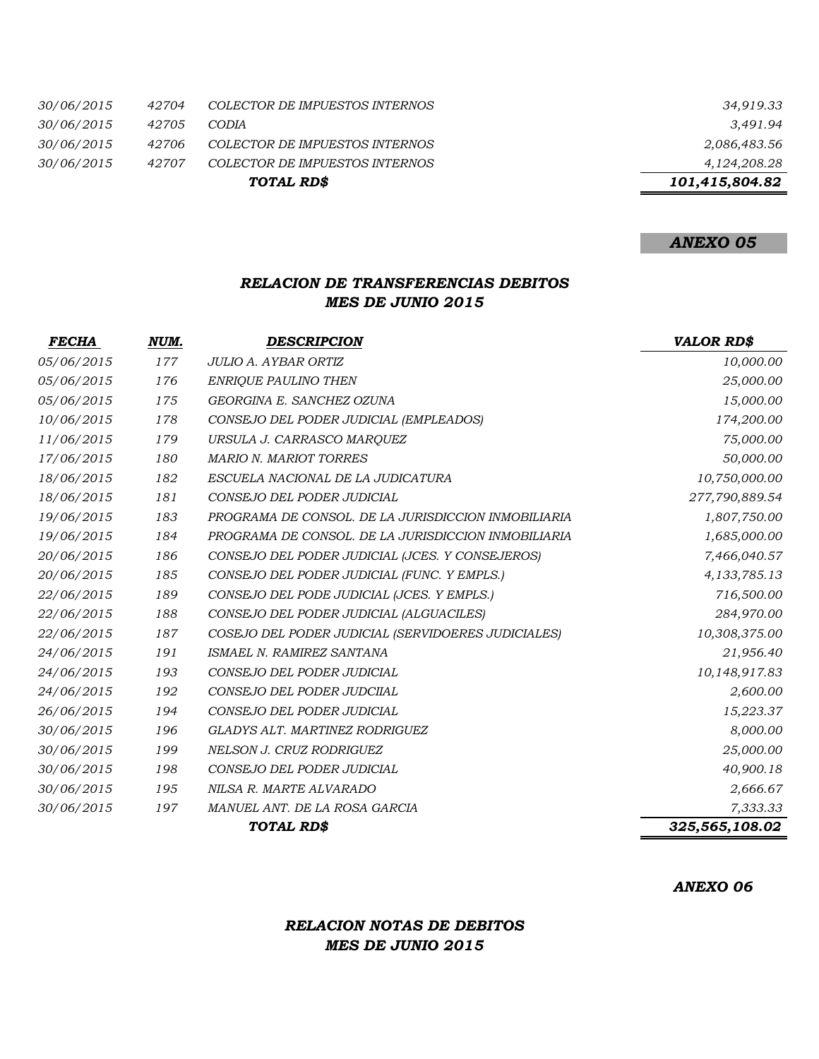|                   |       | TOTAL RD\$                     | 101,415,804.82 |
|-------------------|-------|--------------------------------|----------------|
| <i>30/06/2015</i> | 42707 | COLECTOR DE IMPUESTOS INTERNOS | 4,124,208.28   |
| <i>30/06/2015</i> | 42706 | COLECTOR DE IMPUESTOS INTERNOS | 2,086,483.56   |
| <i>30/06/2015</i> | 42705 | <b>CODIA</b>                   | 3.491.94       |
| <i>30/06/2015</i> | 42704 | COLECTOR DE IMPUESTOS INTERNOS | 34,919.33      |

## *ANEXO 05*

#### *RELACION DE TRANSFERENCIAS DEBITOS MES DE JUNIO 2015*

| <i>FECHA</i> | NUM. | <b>DESCRIPCION</b>                                  | <b>VALOR RD\$</b> |
|--------------|------|-----------------------------------------------------|-------------------|
| 05/06/2015   | 177  | JULIO A. AYBAR ORTIZ                                | 10,000.00         |
| 05/06/2015   | 176  | <b>ENRIQUE PAULINO THEN</b>                         | 25,000.00         |
| 05/06/2015   | 175  | GEORGINA E. SANCHEZ OZUNA                           | 15,000.00         |
| 10/06/2015   | 178  | CONSEJO DEL PODER JUDICIAL (EMPLEADOS)              | 174,200.00        |
| 11/06/2015   | 179  | URSULA J. CARRASCO MARQUEZ                          | 75,000.00         |
| 17/06/2015   | 180  | <b>MARIO N. MARIOT TORRES</b>                       | 50,000.00         |
| 18/06/2015   | 182  | ESCUELA NACIONAL DE LA JUDICATURA                   | 10,750,000.00     |
| 18/06/2015   | 181  | CONSEJO DEL PODER JUDICIAL                          | 277,790,889.54    |
| 19/06/2015   | 183  | PROGRAMA DE CONSOL. DE LA JURISDICCION INMOBILIARIA | 1,807,750.00      |
| 19/06/2015   | 184  | PROGRAMA DE CONSOL. DE LA JURISDICCION INMOBILIARIA | 1,685,000.00      |
| 20/06/2015   | 186  | CONSEJO DEL PODER JUDICIAL (JCES. Y CONSEJEROS)     | 7,466,040.57      |
| 20/06/2015   | 185  | CONSEJO DEL PODER JUDICIAL (FUNC. Y EMPLS.)         | 4, 133, 785. 13   |
| 22/06/2015   | 189  | CONSEJO DEL PODE JUDICIAL (JCES. Y EMPLS.)          | 716,500.00        |
| 22/06/2015   | 188  | CONSEJO DEL PODER JUDICIAL (ALGUACILES)             | 284,970.00        |
| 22/06/2015   | 187  | COSEJO DEL PODER JUDICIAL (SERVIDOERES JUDICIALES)  | 10,308,375.00     |
| 24/06/2015   | 191  | ISMAEL N. RAMIREZ SANTANA                           | 21,956.40         |
| 24/06/2015   | 193  | CONSEJO DEL PODER JUDICIAL                          | 10,148,917.83     |
| 24/06/2015   | 192  | CONSEJO DEL PODER JUDCIIAL                          | 2,600.00          |
| 26/06/2015   | 194  | CONSEJO DEL PODER JUDICIAL                          | 15,223.37         |
| 30/06/2015   | 196  | GLADYS ALT. MARTINEZ RODRIGUEZ                      | 8,000.00          |
| 30/06/2015   | 199  | NELSON J. CRUZ RODRIGUEZ                            | 25,000.00         |
| 30/06/2015   | 198  | CONSEJO DEL PODER JUDICIAL                          | 40,900.18         |
| 30/06/2015   | 195  | NILSA R. MARTE ALVARADO                             | 2,666.67          |
| 30/06/2015   | 197  | MANUEL ANT. DE LA ROSA GARCIA                       | 7,333.33          |
|              |      | <b>TOTAL RDS</b>                                    | 325,565,108.02    |

*ANEXO 06*

### *RELACION NOTAS DE DEBITOS MES DE JUNIO 2015*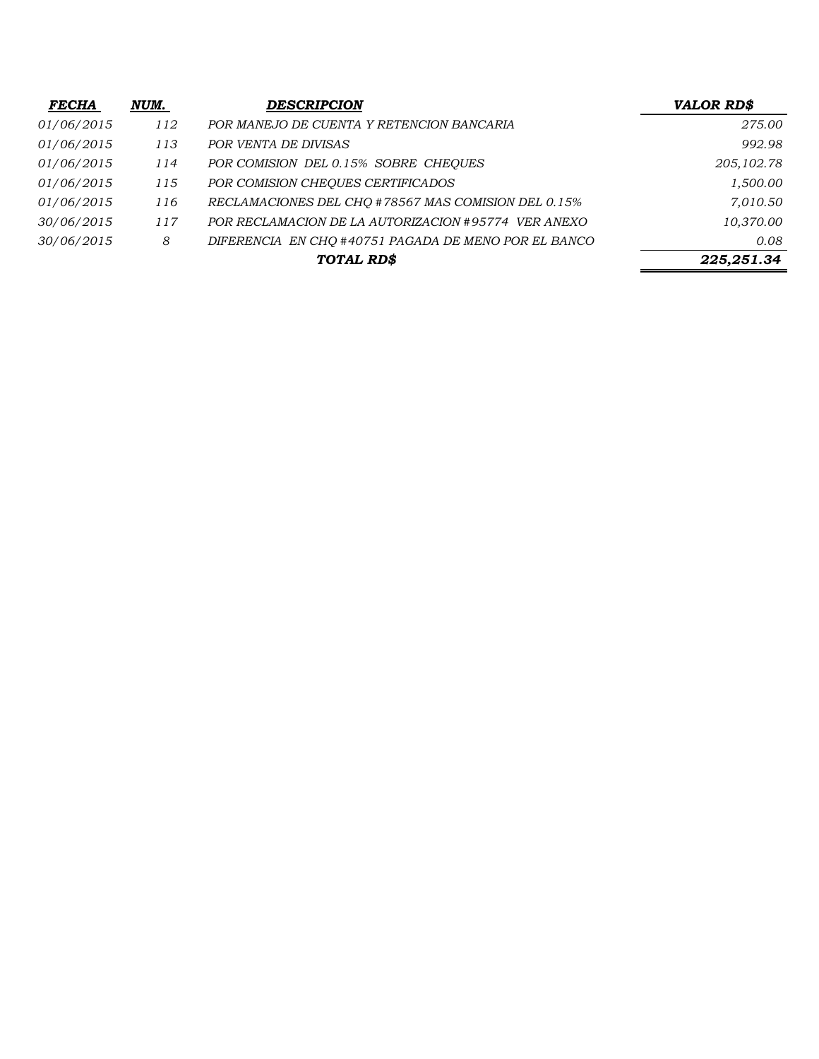| <b>FECHA</b> | NUM. | <b>DESCRIPCION</b>                                   | <b>VALOR RD\$</b> |
|--------------|------|------------------------------------------------------|-------------------|
| 01/06/2015   | 112  | POR MANEJO DE CUENTA Y RETENCION BANCARIA            | 275.00            |
| 01/06/2015   | 113  | POR VENTA DE DIVISAS                                 | 992.98            |
| 01/06/2015   | 114  | POR COMISION DEL 0.15% SOBRE CHEOUES                 | 205, 102.78       |
| 01/06/2015   | 115  | POR COMISION CHEQUES CERTIFICADOS                    | 1,500.00          |
| 01/06/2015   | 116  | RECLAMACIONES DEL CHQ #78567 MAS COMISION DEL 0.15%  | 7,010.50          |
| 30/06/2015   | 117  | POR RECLAMACION DE LA AUTORIZACION #95774 VER ANEXO  | 10,370.00         |
| 30/06/2015   | 8    | DIFERENCIA EN CHQ #40751 PAGADA DE MENO POR EL BANCO | 0.08              |
|              |      | TOTAL RD\$                                           | 225,251.34        |